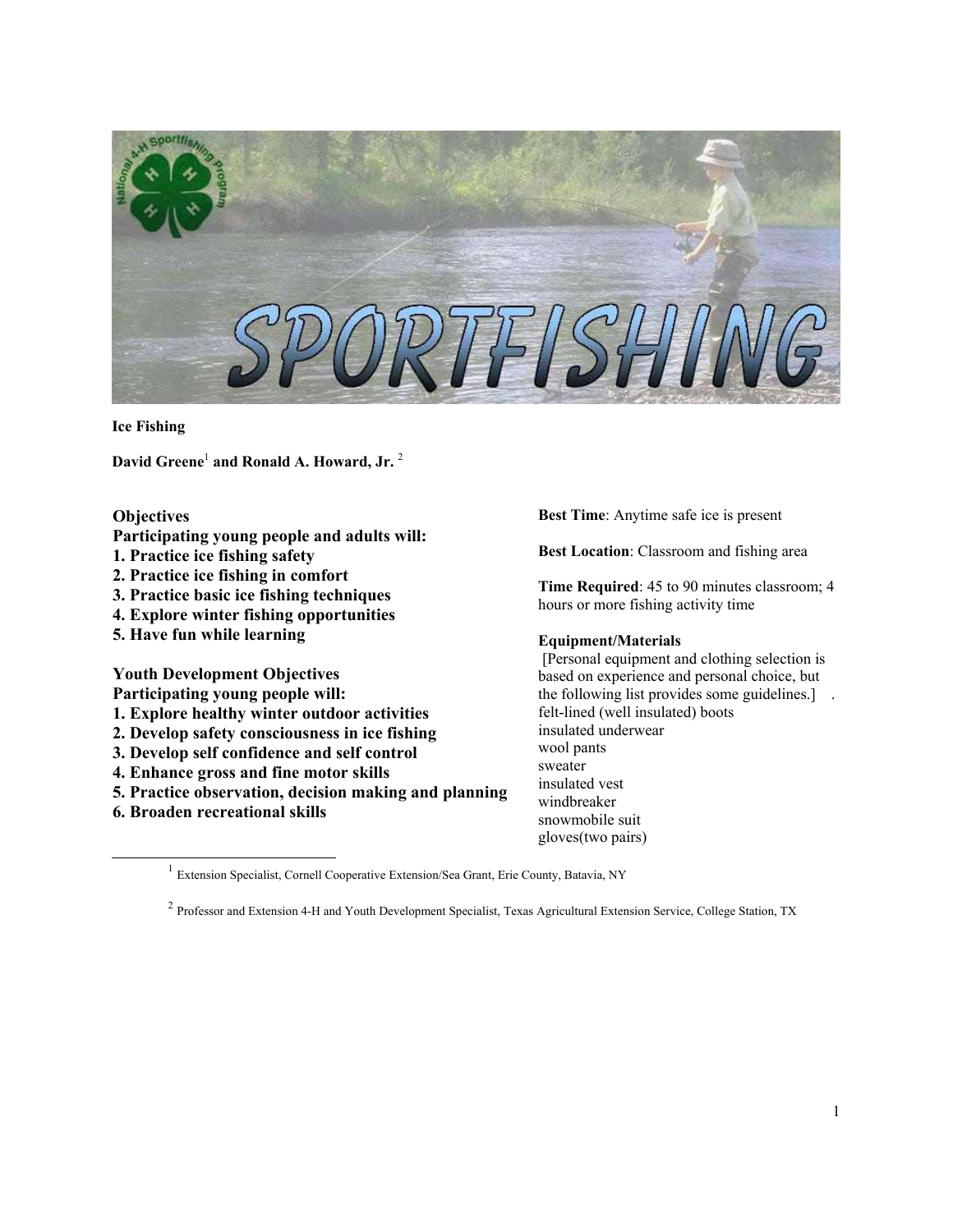

**Ice Fishing**

**David Greene**[1](#page-0-0) **and Ronald A. Howard, Jr.** [2](#page-0-1)

## **Objectives**

- **Participating young people and adults will:**
- **1. Practice ice fishing safety**
- **2. Practice ice fishing in comfort**
- **3. Practice basic ice fishing techniques**
- **4. Explore winter fishing opportunities**
- **5. Have fun while learning**

**Youth Development Objectives** 

- **Participating young people will:**
- **1. Explore healthy winter outdoor activities**
- **2. Develop safety consciousness in ice fishing**
- **3. Develop self confidence and self control**
- **4. Enhance gross and fine motor skills**
- **5. Practice observation, decision making and planning**
- **6. Broaden recreational skills**

-

**Best Time**: Anytime safe ice is present

**Best Location**: Classroom and fishing area

**Time Required**: 45 to 90 minutes classroom; 4 hours or more fishing activity time

## **Equipment/Materials**

 [Personal equipment and clothing selection is based on experience and personal choice, but the following list provides some guidelines.] . felt-lined (well insulated) boots insulated underwear wool pants sweater insulated vest windbreaker snowmobile suit gloves(two pairs)

<span id="page-0-0"></span><sup>1</sup> Extension Specialist, Cornell Cooperative Extension/Sea Grant, Erie County, Batavia, NY

<span id="page-0-1"></span><sup>2</sup> Professor and Extension 4-H and Youth Development Specialist, Texas Agricultural Extension Service, College Station, TX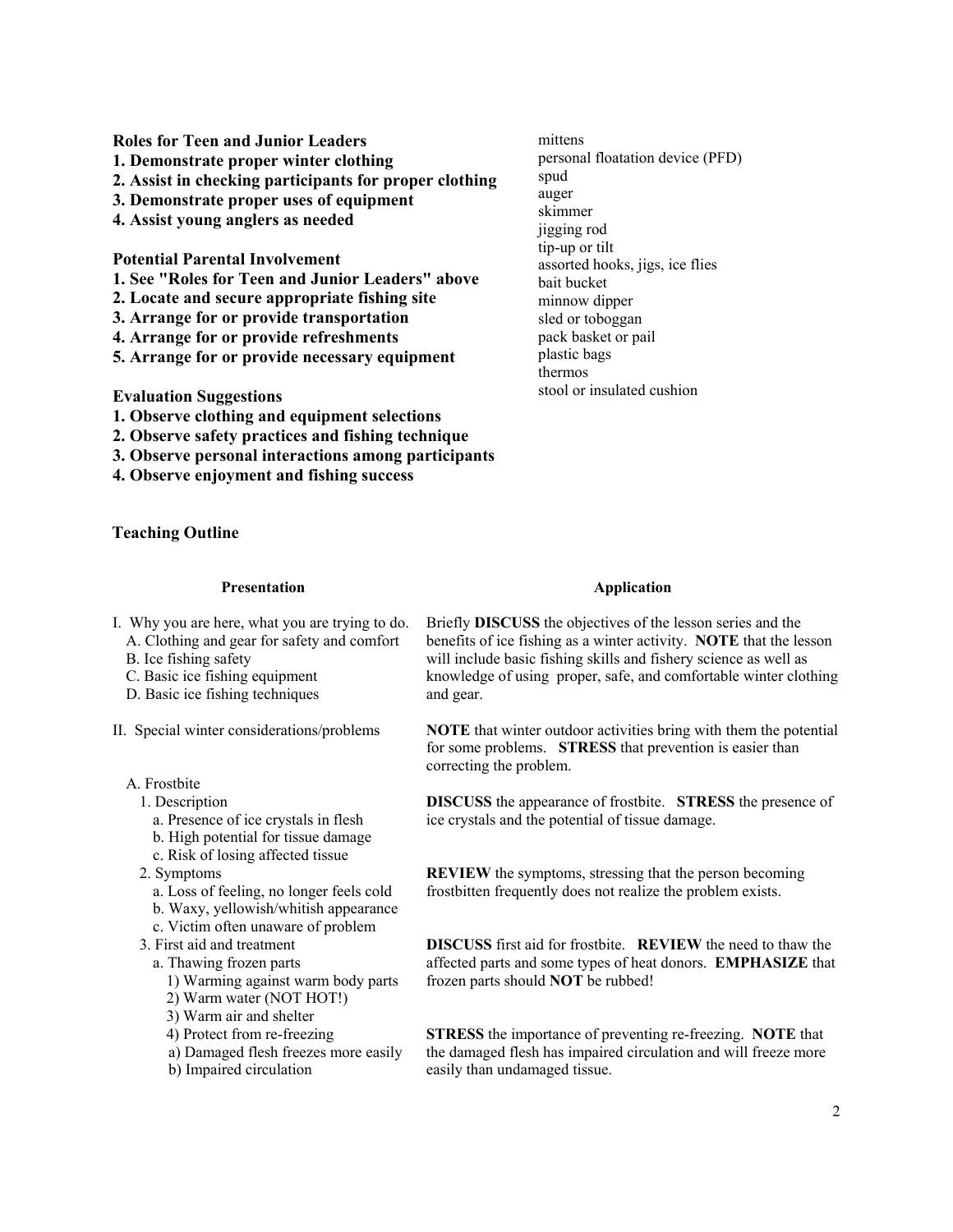**Roles for Teen and Junior Leaders 1. Demonstrate proper winter clothing 2. Assist in checking participants for proper clothing 3. Demonstrate proper uses of equipment 4. Assist young anglers as needed Potential Parental Involvement 1. See "Roles for Teen and Junior Leaders" above 2. Locate and secure appropriate fishing site 3. Arrange for or provide transportation 4. Arrange for or provide refreshments**  mittens spud auger skimmer

**5. Arrange for or provide necessary equipment** 

**Evaluation Suggestions** 

- **1. Observe clothing and equipment selections**
- **2. Observe safety practices and fishing technique**
- **3. Observe personal interactions among participants**
- **4. Observe enjoyment and fishing success**

**Teaching Outline**

## **Presentation**

- I. Why you are here, what you are trying to do.
	- A. Clothing and gear for safety and comfort
	- B. Ice fishing safety
	- C. Basic ice fishing equipment
	- D. Basic ice fishing techniques
- II. Special winter considerations/problems
	- A. Frostbite
		- 1. Description
			- a. Presence of ice crystals in flesh
			- b. High potential for tissue damage
			- c. Risk of losing affected tissue
		- 2. Symptoms
			- a. Loss of feeling, no longer feels cold
			- b. Waxy, yellowish/whitish appearance
			- c. Victim often unaware of problem
		- 3. First aid and treatment
			- a. Thawing frozen parts
				- 1) Warming against warm body parts
				- 2) Warm water (NOT HOT!)
				- 3) Warm air and shelter
				- 4) Protect from re-freezing
				- a) Damaged flesh freezes more easily
				- b) Impaired circulation

# personal floatation device (PFD) jigging rod tip-up or tilt assorted hooks, jigs, ice flies bait bucket minnow dipper sled or toboggan pack basket or pail plastic bags thermos stool or insulated cushion

#### **Application**

Briefly **DISCUSS** the objectives of the lesson series and the benefits of ice fishing as a winter activity. **NOTE** that the lesson will include basic fishing skills and fishery science as well as knowledge of using proper, safe, and comfortable winter clothing and gear.

**NOTE** that winter outdoor activities bring with them the potential for some problems. **STRESS** that prevention is easier than correcting the problem.

**DISCUSS** the appearance of frostbite. **STRESS** the presence of ice crystals and the potential of tissue damage.

**REVIEW** the symptoms, stressing that the person becoming frostbitten frequently does not realize the problem exists.

**DISCUSS** first aid for frostbite. **REVIEW** the need to thaw the affected parts and some types of heat donors. **EMPHASIZE** that frozen parts should **NOT** be rubbed!

**STRESS** the importance of preventing re-freezing. **NOTE** that the damaged flesh has impaired circulation and will freeze more easily than undamaged tissue.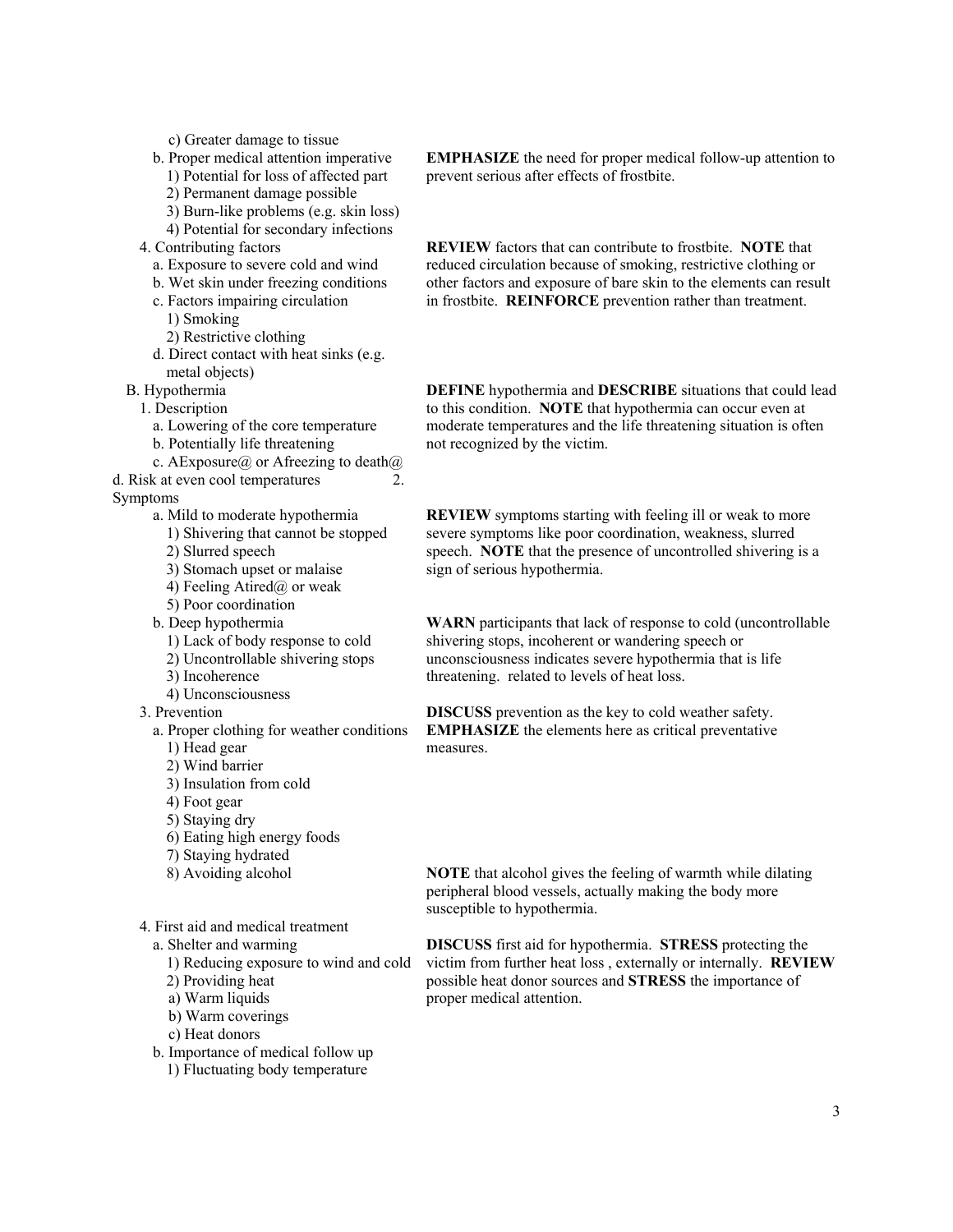c) Greater damage to tissue

- b. Proper medical attention imperative
	- 1) Potential for loss of affected part
	- 2) Permanent damage possible
	- 3) Burn-like problems (e.g. skin loss)
- 4) Potential for secondary infections
- 4. Contributing factors
	- a. Exposure to severe cold and wind
	- b. Wet skin under freezing conditions
	- c. Factors impairing circulation
		- 1) Smoking
		- 2) Restrictive clothing
	- d. Direct contact with heat sinks (e.g. metal objects)
- B. Hypothermia
	- 1. Description
		- a. Lowering of the core temperature
	- b. Potentially life threatening
- c. AExposure@ or Afreezing to death@
- d. Risk at even cool temperatures 2.

Symptoms

- a. Mild to moderate hypothermia
- 1) Shivering that cannot be stopped
	- 2) Slurred speech
	- 3) Stomach upset or malaise
	- 4) Feeling Atired $\omega$  or weak
	- 5) Poor coordination
- b. Deep hypothermia
	- 1) Lack of body response to cold
	- 2) Uncontrollable shivering stops
	- 3) Incoherence
- 4) Unconsciousness
- 3. Prevention
	- a. Proper clothing for weather conditions
		-
		- 1) Head gear 2) Wind barrier
		- 3) Insulation from cold
		- 4) Foot gear
		- 5) Staying dry
		- 6) Eating high energy foods
		- 7) Staying hydrated
		- 8) Avoiding alcohol
	-
- 4. First aid and medical treatment
	- a. Shelter and warming
		- 1) Reducing exposure to wind and cold
		- 2) Providing heat
		- a) Warm liquids
		- b) Warm coverings
		- c) Heat donors
	- b. Importance of medical follow up
		- 1) Fluctuating body temperature

**EMPHASIZE** the need for proper medical follow-up attention to prevent serious after effects of frostbite.

**REVIEW** factors that can contribute to frostbite. **NOTE** that reduced circulation because of smoking, restrictive clothing or other factors and exposure of bare skin to the elements can result in frostbite. **REINFORCE** prevention rather than treatment.

**DEFINE** hypothermia and **DESCRIBE** situations that could lead to this condition. **NOTE** that hypothermia can occur even at moderate temperatures and the life threatening situation is often not recognized by the victim.

**REVIEW** symptoms starting with feeling ill or weak to more severe symptoms like poor coordination, weakness, slurred speech. **NOTE** that the presence of uncontrolled shivering is a sign of serious hypothermia.

**WARN** participants that lack of response to cold (uncontrollable shivering stops, incoherent or wandering speech or unconsciousness indicates severe hypothermia that is life threatening. related to levels of heat loss.

**DISCUSS** prevention as the key to cold weather safety. **EMPHASIZE** the elements here as critical preventative measures.

**NOTE** that alcohol gives the feeling of warmth while dilating peripheral blood vessels, actually making the body more susceptible to hypothermia.

**DISCUSS** first aid for hypothermia. **STRESS** protecting the victim from further heat loss , externally or internally. **REVIEW** possible heat donor sources and **STRESS** the importance of proper medical attention.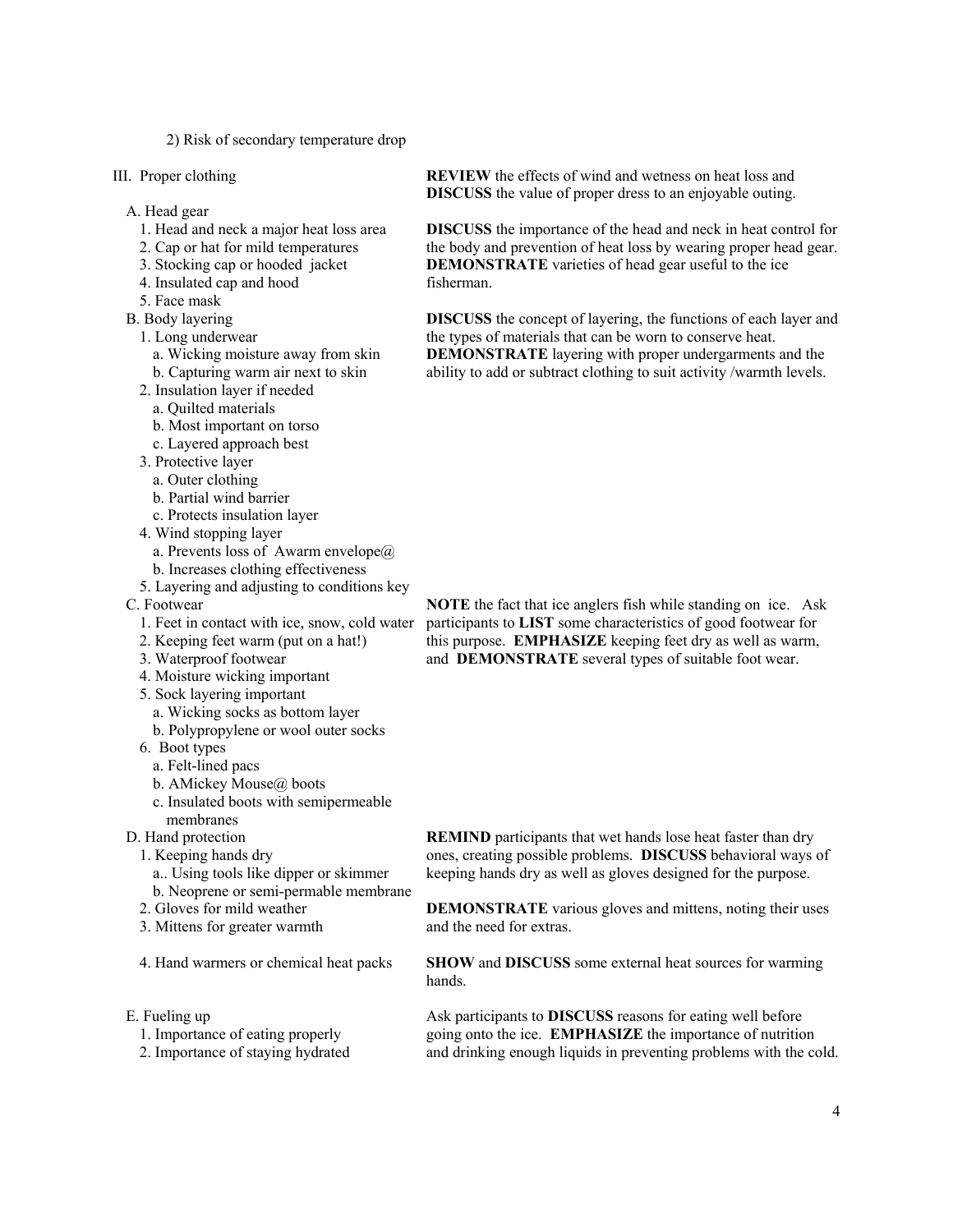2) Risk of secondary temperature drop

- III. Proper clothing
	- A. Head gear
		- 1. Head and neck a major heat loss area
		- 2. Cap or hat for mild temperatures
		- 3. Stocking cap or hooded jacket
		- 4. Insulated cap and hood
		- 5. Face mask
	- B. Body layering
		- 1. Long underwear
			- a. Wicking moisture away from skin
			- b. Capturing warm air next to skin
		- 2. Insulation layer if needed
			- a. Quilted materials
			- b. Most important on torso
			- c. Layered approach best
		- 3. Protective layer
		- a. Outer clothing
		- b. Partial wind barrier
		- c. Protects insulation layer
		- 4. Wind stopping layer
		- a. Prevents loss of Awarm envelope $\omega$
		- b. Increases clothing effectiveness
		- 5. Layering and adjusting to conditions key
	- C. Footwear
		- 1. Feet in contact with ice, snow, cold water
		- 2. Keeping feet warm (put on a hat!)
		- 3. Waterproof footwear
		- 4. Moisture wicking important
		- 5. Sock layering important
		- a. Wicking socks as bottom layer
		- b. Polypropylene or wool outer socks
		- 6. Boot types
			- a. Felt-lined pacs
			- b. AMickey Mouse@ boots
			- c. Insulated boots with semipermeable
	- membranes
	- D. Hand protection
		- 1. Keeping hands dry
			- a.. Using tools like dipper or skimmer b. Neoprene or semi-permable membrane
		- 2. Gloves for mild weather
		-
		- 3. Mittens for greater warmth
		- 4. Hand warmers or chemical heat packs
	- E. Fueling up
		- 1. Importance of eating properly
		- 2. Importance of staying hydrated

**REVIEW** the effects of wind and wetness on heat loss and **DISCUSS** the value of proper dress to an enjoyable outing.

**DISCUSS** the importance of the head and neck in heat control for the body and prevention of heat loss by wearing proper head gear. **DEMONSTRATE** varieties of head gear useful to the ice fisherman.

**DISCUSS** the concept of layering, the functions of each layer and the types of materials that can be worn to conserve heat. **DEMONSTRATE** layering with proper undergarments and the ability to add or subtract clothing to suit activity /warmth levels.

**NOTE** the fact that ice anglers fish while standing on ice. Ask participants to **LIST** some characteristics of good footwear for this purpose. **EMPHASIZE** keeping feet dry as well as warm, and **DEMONSTRATE** several types of suitable foot wear.

**REMIND** participants that wet hands lose heat faster than dry ones, creating possible problems. **DISCUSS** behavioral ways of keeping hands dry as well as gloves designed for the purpose.

**DEMONSTRATE** various gloves and mittens, noting their uses and the need for extras.

**SHOW** and **DISCUSS** some external heat sources for warming hands.

Ask participants to **DISCUSS** reasons for eating well before going onto the ice. **EMPHASIZE** the importance of nutrition and drinking enough liquids in preventing problems with the cold.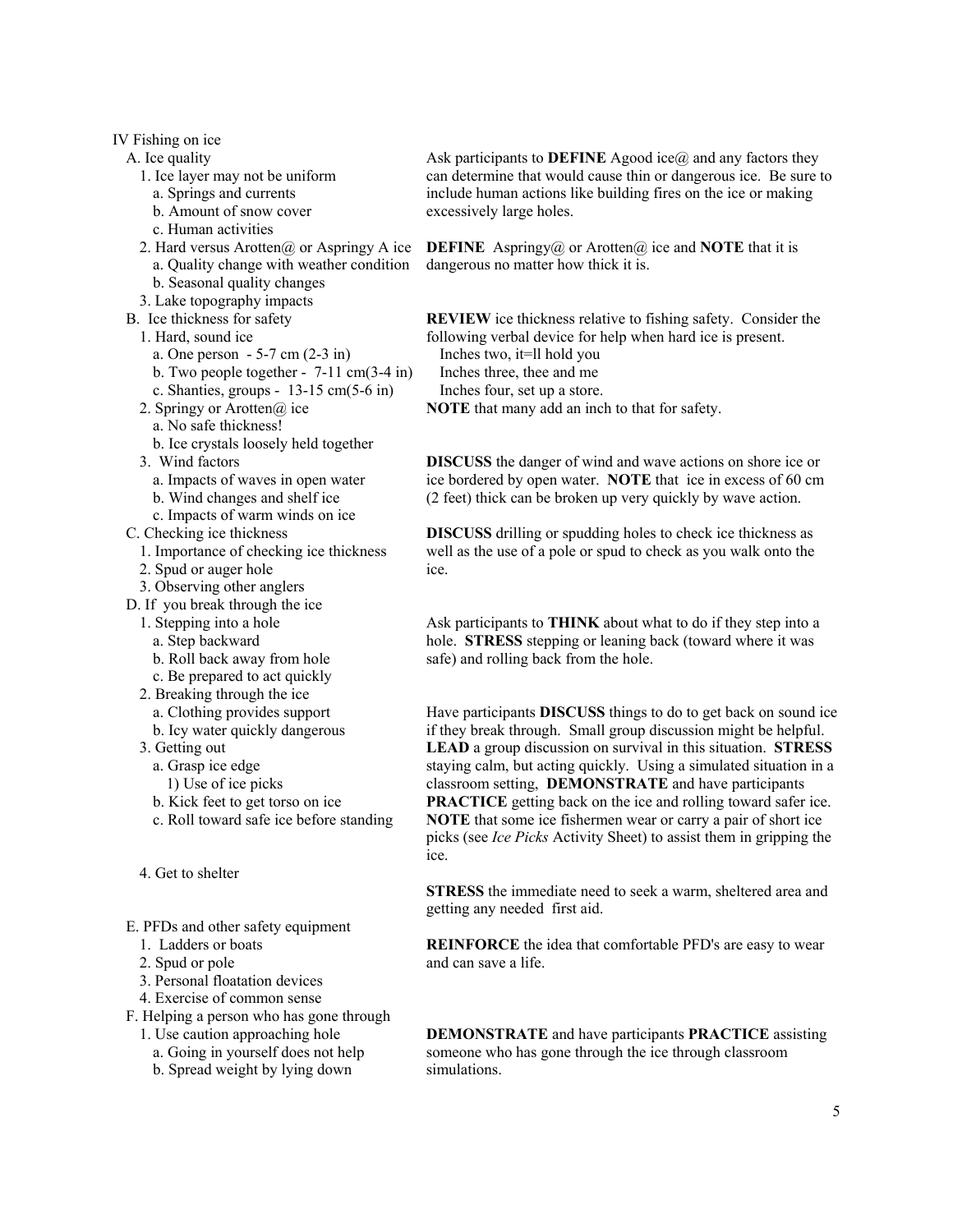IV Fishing on ice A. Ice quality 1. Ice layer may not be uniform a. Springs and currents b. Amount of snow cover c. Human activities 2. Hard versus Arotten $\omega$  or Aspringy A ice a. Quality change with weather condition b. Seasonal quality changes 3. Lake topography impacts B. Ice thickness for safety 1. Hard, sound ice a. One person - 5-7 cm (2-3 in) b. Two people together - 7-11 cm(3-4 in) c. Shanties, groups - 13-15 cm(5-6 in) 2. Springy or Arotten@ ice a. No safe thickness! b. Ice crystals loosely held together 3. Wind factors a. Impacts of waves in open water b. Wind changes and shelf ice c. Impacts of warm winds on ice C. Checking ice thickness 1. Importance of checking ice thickness 2. Spud or auger hole 3. Observing other anglers D. If you break through the ice 1. Stepping into a hole a. Step backward

- 
- b. Roll back away from hole c. Be prepared to act quickly
- 2. Breaking through the ice
- a. Clothing provides support
- b. Icy water quickly dangerous
- 3. Getting out
	- a. Grasp ice edge
	- 1) Use of ice picks
	- b. Kick feet to get torso on ice
	- c. Roll toward safe ice before standing
- 4. Get to shelter
- E. PFDs and other safety equipment
	- 1. Ladders or boats
	- 2. Spud or pole
	- 3. Personal floatation devices
	- 4. Exercise of common sense
- F. Helping a person who has gone through
	- 1. Use caution approaching hole
		- a. Going in yourself does not help
		- b. Spread weight by lying down

Ask participants to **DEFINE** Agood ice@ and any factors they can determine that would cause thin or dangerous ice. Be sure to include human actions like building fires on the ice or making excessively large holes.

**DEFINE** Aspringy@ or Arotten@ ice and **NOTE** that it is dangerous no matter how thick it is.

**REVIEW** ice thickness relative to fishing safety. Consider the following verbal device for help when hard ice is present.

- Inches two, it=ll hold you
- Inches three, thee and me
- Inches four, set up a store.

**NOTE** that many add an inch to that for safety.

**DISCUSS** the danger of wind and wave actions on shore ice or ice bordered by open water. **NOTE** that ice in excess of 60 cm (2 feet) thick can be broken up very quickly by wave action.

**DISCUSS** drilling or spudding holes to check ice thickness as well as the use of a pole or spud to check as you walk onto the ice.

Ask participants to **THINK** about what to do if they step into a hole. **STRESS** stepping or leaning back (toward where it was safe) and rolling back from the hole.

Have participants **DISCUSS** things to do to get back on sound ice if they break through. Small group discussion might be helpful. **LEAD** a group discussion on survival in this situation. **STRESS** staying calm, but acting quickly. Using a simulated situation in a classroom setting, **DEMONSTRATE** and have participants **PRACTICE** getting back on the ice and rolling toward safer ice. **NOTE** that some ice fishermen wear or carry a pair of short ice picks (see *Ice Picks* Activity Sheet) to assist them in gripping the ice.

**STRESS** the immediate need to seek a warm, sheltered area and getting any needed first aid.

**REINFORCE** the idea that comfortable PFD's are easy to wear and can save a life.

**DEMONSTRATE** and have participants **PRACTICE** assisting someone who has gone through the ice through classroom simulations.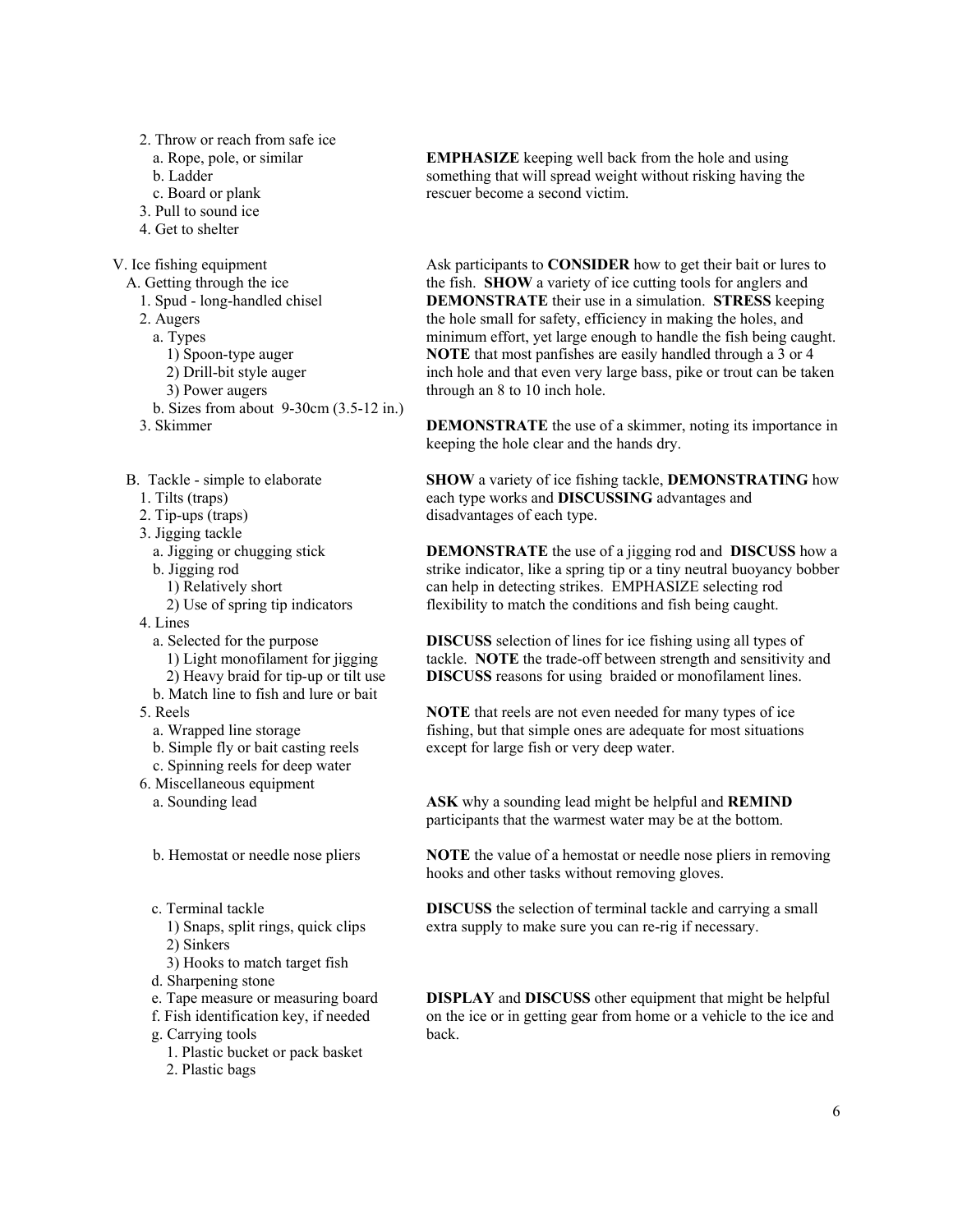- 2. Throw or reach from safe ice
	- a. Rope, pole, or similar
	- b. Ladder
	- c. Board or plank
- 3. Pull to sound ice
- 4. Get to shelter

V. Ice fishing equipment

- A. Getting through the ice
	- 1. Spud long-handled chisel
	- 2. Augers
	- a. Types
		- 1) Spoon-type auger
		- 2) Drill-bit style auger
		- 3) Power augers
	- b. Sizes from about 9-30cm (3.5-12 in.)
	- 3. Skimmer
- B. Tackle simple to elaborate
	- 1. Tilts (traps)
	- 2. Tip-ups (traps)
	- 3. Jigging tackle
		- a. Jigging or chugging stick
		- b. Jigging rod
			- 1) Relatively short
			- 2) Use of spring tip indicators
	- 4. Lines
		- a. Selected for the purpose 1) Light monofilament for jigging 2) Heavy braid for tip-up or tilt use
		- b. Match line to fish and lure or bait
	- 5. Reels
		- a. Wrapped line storage
		- b. Simple fly or bait casting reels
	- c. Spinning reels for deep water
	- 6. Miscellaneous equipment
		- a. Sounding lead
		- b. Hemostat or needle nose pliers
		- c. Terminal tackle
			- 1) Snaps, split rings, quick clips 2) Sinkers
			-
		- 3) Hooks to match target fish
		- d. Sharpening stone
		- e. Tape measure or measuring board
		- f. Fish identification key, if needed
		- g. Carrying tools
			- 1. Plastic bucket or pack basket
			- 2. Plastic bags

**EMPHASIZE** keeping well back from the hole and using something that will spread weight without risking having the rescuer become a second victim.

Ask participants to **CONSIDER** how to get their bait or lures to the fish. **SHOW** a variety of ice cutting tools for anglers and **DEMONSTRATE** their use in a simulation. **STRESS** keeping the hole small for safety, efficiency in making the holes, and minimum effort, yet large enough to handle the fish being caught. **NOTE** that most panfishes are easily handled through a 3 or 4 inch hole and that even very large bass, pike or trout can be taken through an 8 to 10 inch hole.

**DEMONSTRATE** the use of a skimmer, noting its importance in keeping the hole clear and the hands dry.

**SHOW** a variety of ice fishing tackle, **DEMONSTRATING** how each type works and **DISCUSSING** advantages and disadvantages of each type.

**DEMONSTRATE** the use of a jigging rod and **DISCUSS** how a strike indicator, like a spring tip or a tiny neutral buoyancy bobber can help in detecting strikes. EMPHASIZE selecting rod flexibility to match the conditions and fish being caught.

**DISCUSS** selection of lines for ice fishing using all types of tackle. **NOTE** the trade-off between strength and sensitivity and **DISCUSS** reasons for using braided or monofilament lines.

**NOTE** that reels are not even needed for many types of ice fishing, but that simple ones are adequate for most situations except for large fish or very deep water.

**ASK** why a sounding lead might be helpful and **REMIND** participants that the warmest water may be at the bottom.

**NOTE** the value of a hemostat or needle nose pliers in removing hooks and other tasks without removing gloves.

**DISCUSS** the selection of terminal tackle and carrying a small extra supply to make sure you can re-rig if necessary.

**DISPLAY** and **DISCUSS** other equipment that might be helpful on the ice or in getting gear from home or a vehicle to the ice and back.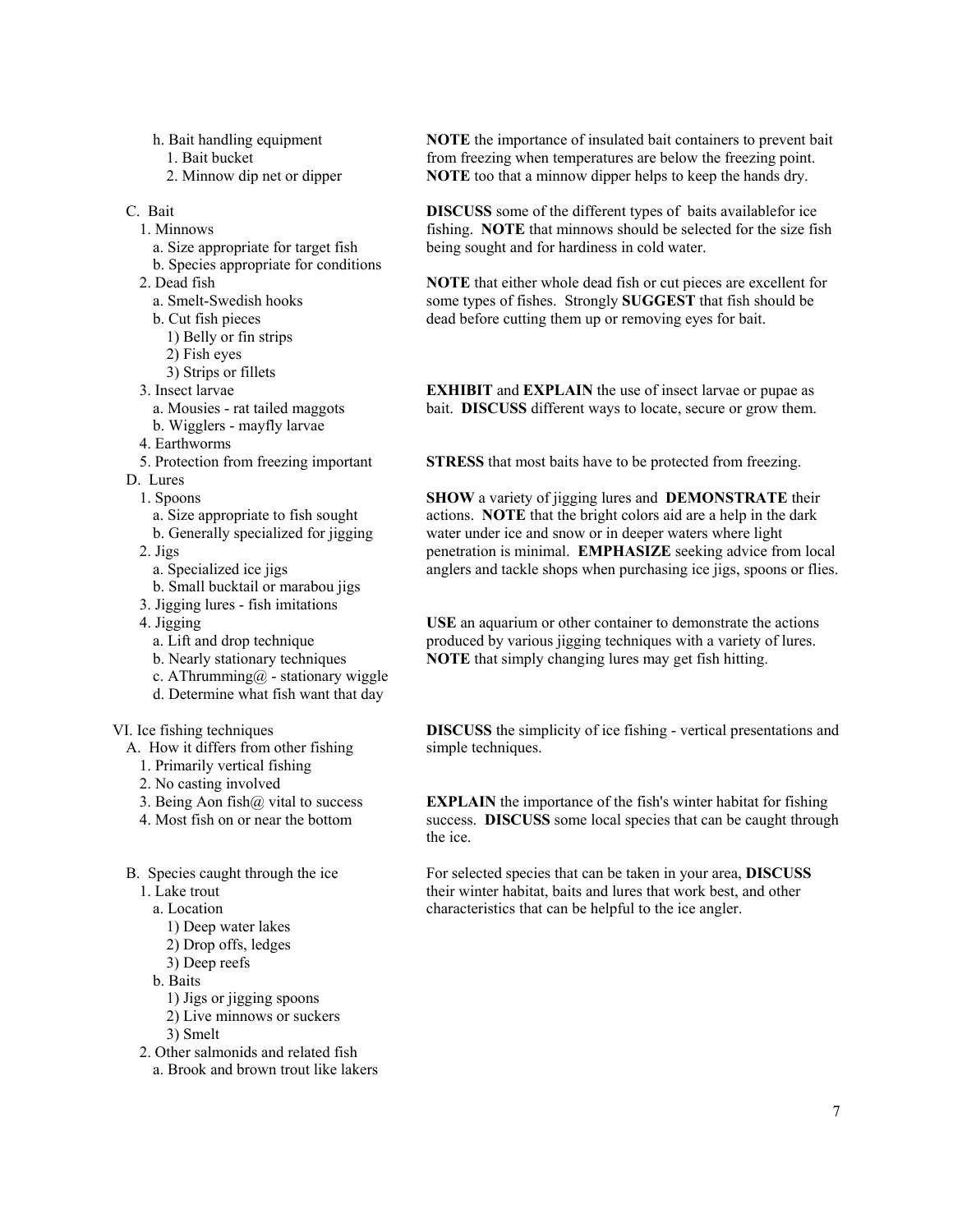- h. Bait handling equipment
	- 1. Bait bucket
	- 2. Minnow dip net or dipper
- C. Bait
	- 1. Minnows
		- a. Size appropriate for target fish
		- b. Species appropriate for conditions
	- 2. Dead fish
		- a. Smelt-Swedish hooks
		- b. Cut fish pieces
			- 1) Belly or fin strips
		- 2) Fish eyes
		- 3) Strips or fillets
	- 3. Insect larvae
		- a. Mousies rat tailed maggots
	- b. Wigglers mayfly larvae
	- 4. Earthworms
	- 5. Protection from freezing important
- D. Lures
	- 1. Spoons
		- a. Size appropriate to fish sought
		- b. Generally specialized for jigging
	- 2. Jigs
		- a. Specialized ice jigs
	- b. Small bucktail or marabou jigs
	- 3. Jigging lures fish imitations
	- 4. Jigging
		- a. Lift and drop technique
		- b. Nearly stationary techniques
		- c. AThrumming $@$  stationary wiggle
		- d. Determine what fish want that day

### VI. Ice fishing techniques

- A. How it differs from other fishing
	- 1. Primarily vertical fishing
	- 2. No casting involved
	- 3. Being Aon fish $\omega$  vital to success
	- 4. Most fish on or near the bottom
- B. Species caught through the ice
	- 1. Lake trout
		- a. Location
			- 1) Deep water lakes
			- 2) Drop offs, ledges
			- 3) Deep reefs
		- b. Baits
			- 1) Jigs or jigging spoons
			- 2) Live minnows or suckers
			- 3) Smelt
	- 2. Other salmonids and related fish
		- a. Brook and brown trout like lakers

**NOTE** the importance of insulated bait containers to prevent bait from freezing when temperatures are below the freezing point. **NOTE** too that a minnow dipper helps to keep the hands dry.

**DISCUSS** some of the different types of baits availablefor ice fishing. **NOTE** that minnows should be selected for the size fish being sought and for hardiness in cold water.

**NOTE** that either whole dead fish or cut pieces are excellent for some types of fishes. Strongly **SUGGEST** that fish should be dead before cutting them up or removing eyes for bait.

**EXHIBIT** and **EXPLAIN** the use of insect larvae or pupae as bait. **DISCUSS** different ways to locate, secure or grow them.

**STRESS** that most baits have to be protected from freezing.

**SHOW** a variety of jigging lures and **DEMONSTRATE** their actions. **NOTE** that the bright colors aid are a help in the dark water under ice and snow or in deeper waters where light penetration is minimal. **EMPHASIZE** seeking advice from local anglers and tackle shops when purchasing ice jigs, spoons or flies.

**USE** an aquarium or other container to demonstrate the actions produced by various jigging techniques with a variety of lures. **NOTE** that simply changing lures may get fish hitting.

**DISCUSS** the simplicity of ice fishing - vertical presentations and simple techniques.

**EXPLAIN** the importance of the fish's winter habitat for fishing success. **DISCUSS** some local species that can be caught through the ice.

For selected species that can be taken in your area, **DISCUSS** their winter habitat, baits and lures that work best, and other characteristics that can be helpful to the ice angler.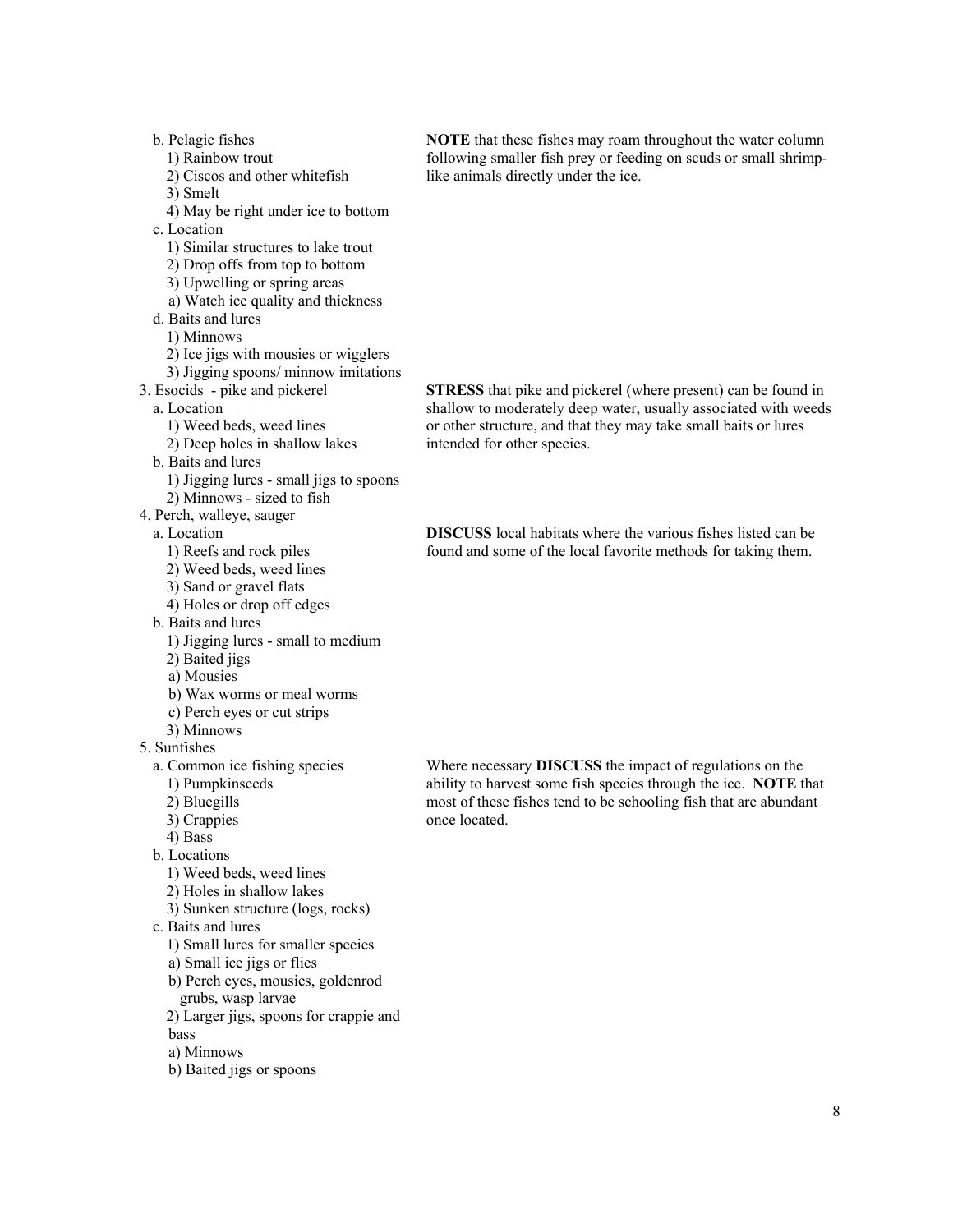b. Pelagic fishes 1) Rainbow trout 2) Ciscos and other whitefish 3) Smelt 4) May be right under ice to bottom c. Location 1) Similar structures to lake trout 2) Drop offs from top to bottom 3) Upwelling or spring areas a) Watch ice quality and thickness d. Baits and lures 1) Minnows 2) Ice jigs with mousies or wigglers 3) Jigging spoons/ minnow imitations 3. Esocids - pike and pickerel a. Location 1) Weed beds, weed lines 2) Deep holes in shallow lakes b. Baits and lures 1) Jigging lures - small jigs to spoons 2) Minnows - sized to fish 4. Perch, walleye, sauger a. Location 1) Reefs and rock piles 2) Weed beds, weed lines 3) Sand or gravel flats 4) Holes or drop off edges b. Baits and lures 1) Jigging lures - small to medium 2) Baited jigs a) Mousies b) Wax worms or meal worms c) Perch eyes or cut strips 3) Minnows 5. Sunfishes a. Common ice fishing species 1) Pumpkinseeds 2) Bluegills 3) Crappies 4) Bass b. Locations 1) Weed beds, weed lines 2) Holes in shallow lakes 3) Sunken structure (logs, rocks) c. Baits and lures 1) Small lures for smaller species a) Small ice jigs or flies b) Perch eyes, mousies, goldenrod grubs, wasp larvae 2) Larger jigs, spoons for crappie and bass a) Minnows b) Baited jigs or spoons once located.

**NOTE** that these fishes may roam throughout the water column following smaller fish prey or feeding on scuds or small shrimplike animals directly under the ice.

**STRESS** that pike and pickerel (where present) can be found in shallow to moderately deep water, usually associated with weeds or other structure, and that they may take small baits or lures intended for other species.

**DISCUSS** local habitats where the various fishes listed can be found and some of the local favorite methods for taking them.

Where necessary **DISCUSS** the impact of regulations on the ability to harvest some fish species through the ice. **NOTE** that most of these fishes tend to be schooling fish that are abundant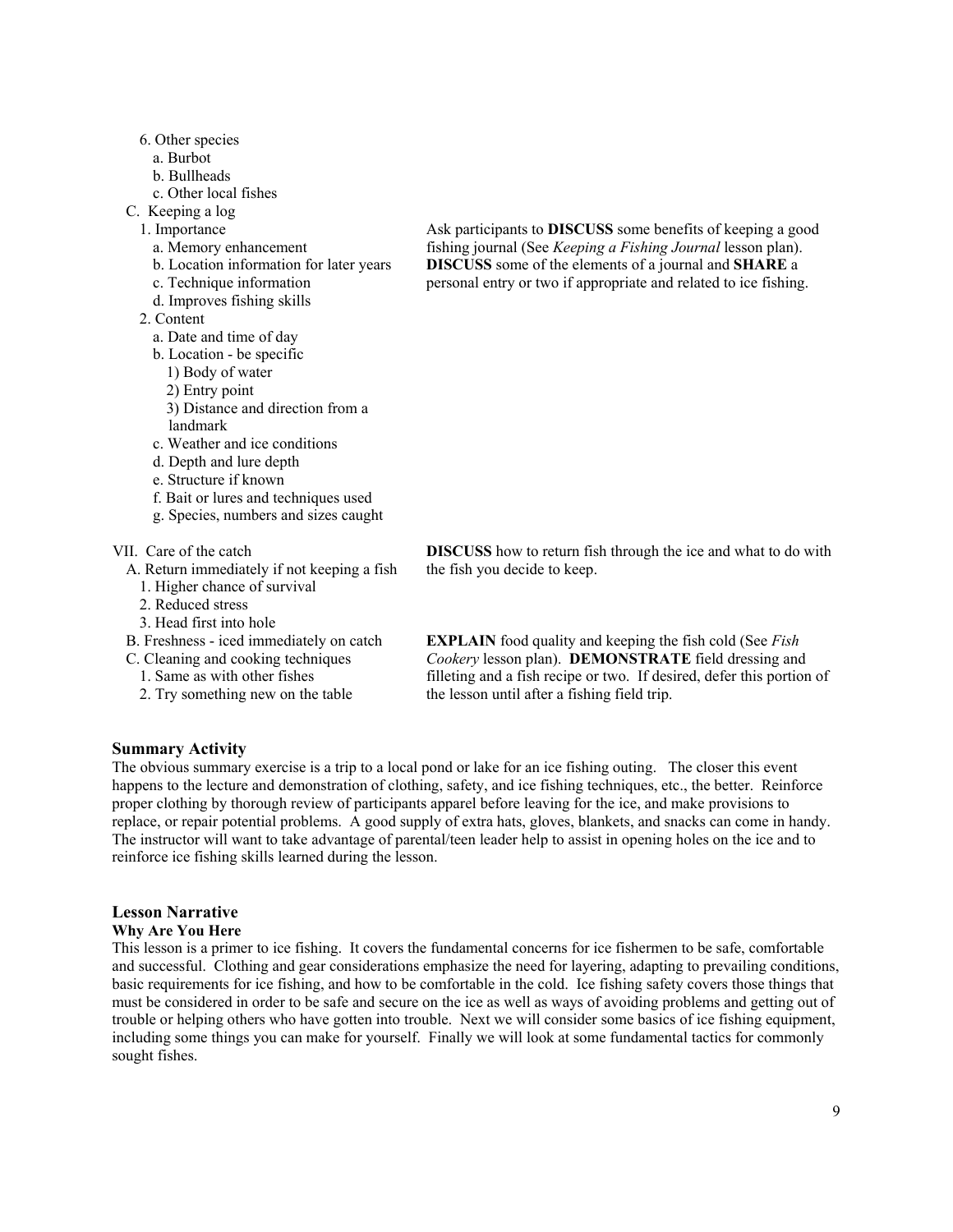- 6. Other species
	- a. Burbot
	- b. Bullheads
	- c. Other local fishes
- C. Keeping a log
	- 1. Importance
		- a. Memory enhancement
		- b. Location information for later years
		- c. Technique information
		- d. Improves fishing skills
	- 2. Content
		- a. Date and time of day
		- b. Location be specific
		- 1) Body of water
		- 2) Entry point
		- 3) Distance and direction from a
		- landmark
		- c. Weather and ice conditions
		- d. Depth and lure depth
		- e. Structure if known
		- f. Bait or lures and techniques used
		- g. Species, numbers and sizes caught

#### VII. Care of the catch

- A. Return immediately if not keeping a fish
- 1. Higher chance of survival
- 2. Reduced stress
- 3. Head first into hole
- B. Freshness iced immediately on catch
- C. Cleaning and cooking techniques
	- 1. Same as with other fishes
	- 2. Try something new on the table

Ask participants to **DISCUSS** some benefits of keeping a good fishing journal (See *Keeping a Fishing Journal* lesson plan). **DISCUSS** some of the elements of a journal and **SHARE** a personal entry or two if appropriate and related to ice fishing.

**DISCUSS** how to return fish through the ice and what to do with the fish you decide to keep.

**EXPLAIN** food quality and keeping the fish cold (See *Fish Cookery* lesson plan). **DEMONSTRATE** field dressing and filleting and a fish recipe or two. If desired, defer this portion of the lesson until after a fishing field trip.

## **Summary Activity**

The obvious summary exercise is a trip to a local pond or lake for an ice fishing outing. The closer this event happens to the lecture and demonstration of clothing, safety, and ice fishing techniques, etc., the better. Reinforce proper clothing by thorough review of participants apparel before leaving for the ice, and make provisions to replace, or repair potential problems. A good supply of extra hats, gloves, blankets, and snacks can come in handy. The instructor will want to take advantage of parental/teen leader help to assist in opening holes on the ice and to reinforce ice fishing skills learned during the lesson.

#### **Lesson Narrative**

#### **Why Are You Here**

This lesson is a primer to ice fishing. It covers the fundamental concerns for ice fishermen to be safe, comfortable and successful. Clothing and gear considerations emphasize the need for layering, adapting to prevailing conditions, basic requirements for ice fishing, and how to be comfortable in the cold. Ice fishing safety covers those things that must be considered in order to be safe and secure on the ice as well as ways of avoiding problems and getting out of trouble or helping others who have gotten into trouble. Next we will consider some basics of ice fishing equipment, including some things you can make for yourself. Finally we will look at some fundamental tactics for commonly sought fishes.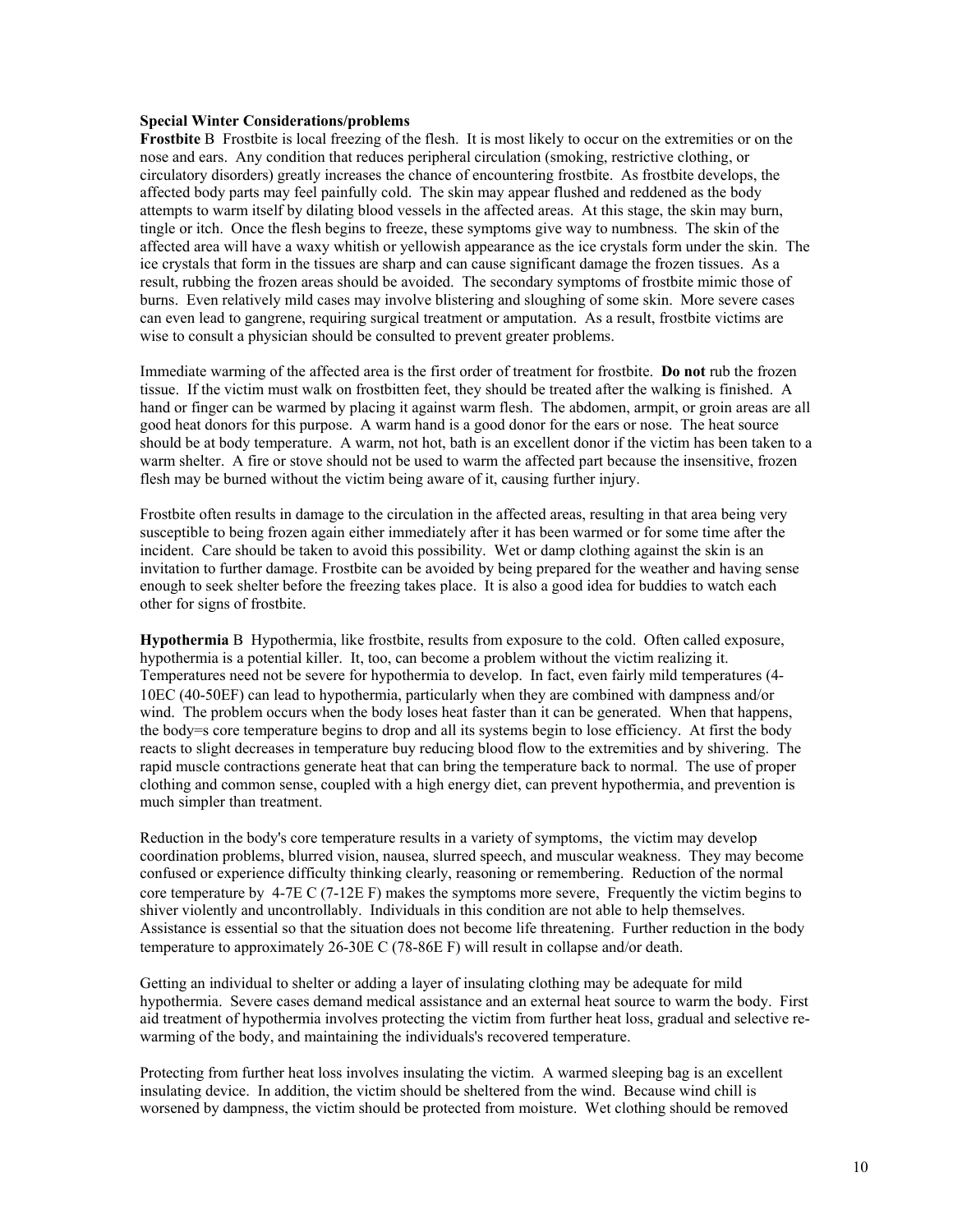## **Special Winter Considerations/problems**

**Frostbite** B Frostbite is local freezing of the flesh. It is most likely to occur on the extremities or on the nose and ears. Any condition that reduces peripheral circulation (smoking, restrictive clothing, or circulatory disorders) greatly increases the chance of encountering frostbite. As frostbite develops, the affected body parts may feel painfully cold. The skin may appear flushed and reddened as the body attempts to warm itself by dilating blood vessels in the affected areas. At this stage, the skin may burn, tingle or itch. Once the flesh begins to freeze, these symptoms give way to numbness. The skin of the affected area will have a waxy whitish or yellowish appearance as the ice crystals form under the skin. The ice crystals that form in the tissues are sharp and can cause significant damage the frozen tissues. As a result, rubbing the frozen areas should be avoided. The secondary symptoms of frostbite mimic those of burns. Even relatively mild cases may involve blistering and sloughing of some skin. More severe cases can even lead to gangrene, requiring surgical treatment or amputation. As a result, frostbite victims are wise to consult a physician should be consulted to prevent greater problems.

Immediate warming of the affected area is the first order of treatment for frostbite. **Do not** rub the frozen tissue. If the victim must walk on frostbitten feet, they should be treated after the walking is finished. A hand or finger can be warmed by placing it against warm flesh. The abdomen, armpit, or groin areas are all good heat donors for this purpose. A warm hand is a good donor for the ears or nose. The heat source should be at body temperature. A warm, not hot, bath is an excellent donor if the victim has been taken to a warm shelter. A fire or stove should not be used to warm the affected part because the insensitive, frozen flesh may be burned without the victim being aware of it, causing further injury.

Frostbite often results in damage to the circulation in the affected areas, resulting in that area being very susceptible to being frozen again either immediately after it has been warmed or for some time after the incident. Care should be taken to avoid this possibility. Wet or damp clothing against the skin is an invitation to further damage. Frostbite can be avoided by being prepared for the weather and having sense enough to seek shelter before the freezing takes place. It is also a good idea for buddies to watch each other for signs of frostbite.

**Hypothermia** B Hypothermia, like frostbite, results from exposure to the cold. Often called exposure, hypothermia is a potential killer. It, too, can become a problem without the victim realizing it. Temperatures need not be severe for hypothermia to develop. In fact, even fairly mild temperatures (4- 10ΕC (40-50ΕF) can lead to hypothermia, particularly when they are combined with dampness and/or wind. The problem occurs when the body loses heat faster than it can be generated. When that happens, the body=s core temperature begins to drop and all its systems begin to lose efficiency. At first the body reacts to slight decreases in temperature buy reducing blood flow to the extremities and by shivering. The rapid muscle contractions generate heat that can bring the temperature back to normal. The use of proper clothing and common sense, coupled with a high energy diet, can prevent hypothermia, and prevention is much simpler than treatment.

Reduction in the body's core temperature results in a variety of symptoms, the victim may develop coordination problems, blurred vision, nausea, slurred speech, and muscular weakness. They may become confused or experience difficulty thinking clearly, reasoning or remembering. Reduction of the normal core temperature by 4-7Ε C (7-12Ε F) makes the symptoms more severe, Frequently the victim begins to shiver violently and uncontrollably. Individuals in this condition are not able to help themselves. Assistance is essential so that the situation does not become life threatening. Further reduction in the body temperature to approximately 26-30Ε C (78-86Ε F) will result in collapse and/or death.

Getting an individual to shelter or adding a layer of insulating clothing may be adequate for mild hypothermia. Severe cases demand medical assistance and an external heat source to warm the body. First aid treatment of hypothermia involves protecting the victim from further heat loss, gradual and selective rewarming of the body, and maintaining the individuals's recovered temperature.

Protecting from further heat loss involves insulating the victim. A warmed sleeping bag is an excellent insulating device. In addition, the victim should be sheltered from the wind. Because wind chill is worsened by dampness, the victim should be protected from moisture. Wet clothing should be removed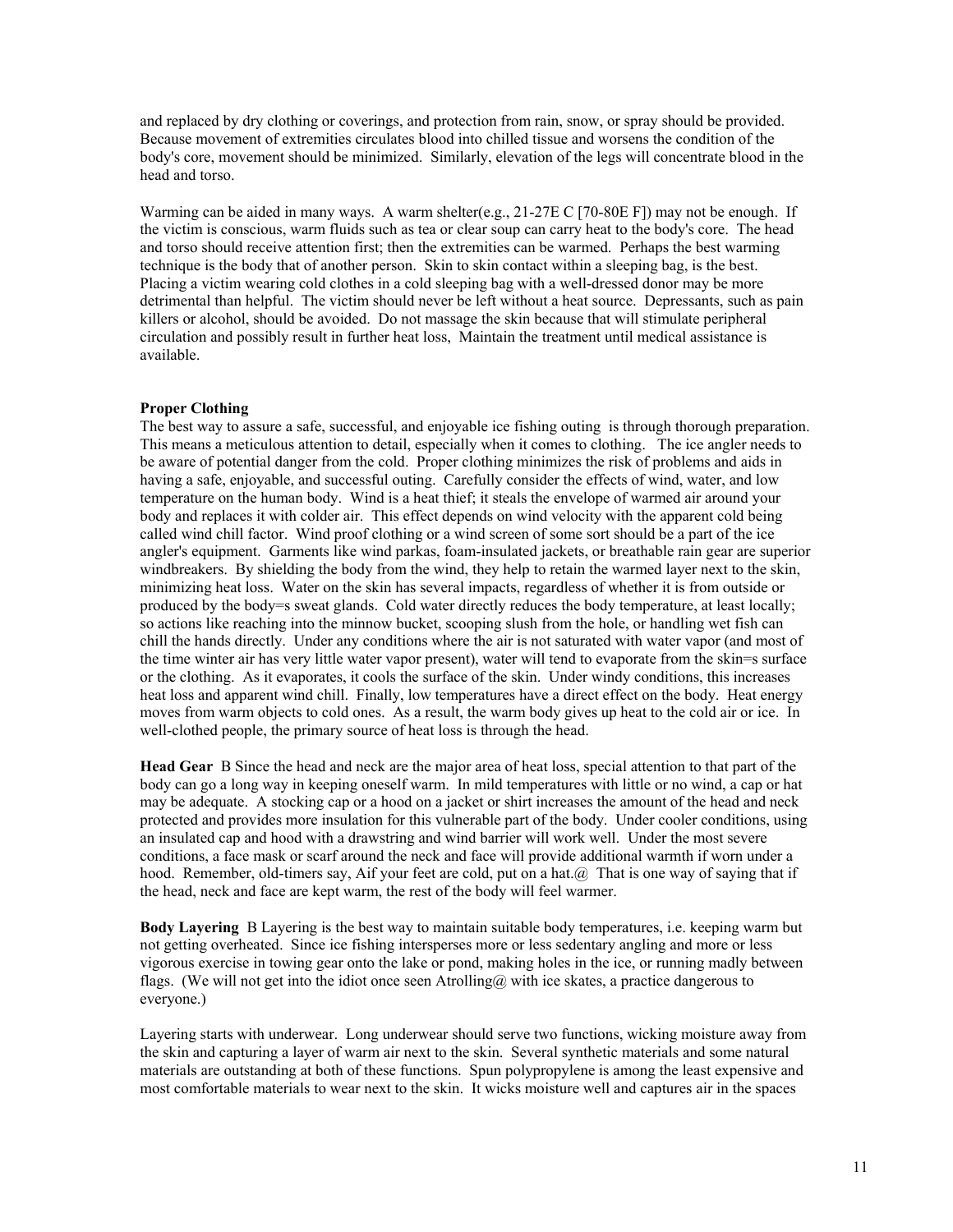and replaced by dry clothing or coverings, and protection from rain, snow, or spray should be provided. Because movement of extremities circulates blood into chilled tissue and worsens the condition of the body's core, movement should be minimized. Similarly, elevation of the legs will concentrate blood in the head and torso.

Warming can be aided in many ways. A warm shelter(e.g., 21-27Ε C [70-80Ε F]) may not be enough. If the victim is conscious, warm fluids such as tea or clear soup can carry heat to the body's core. The head and torso should receive attention first; then the extremities can be warmed. Perhaps the best warming technique is the body that of another person. Skin to skin contact within a sleeping bag, is the best. Placing a victim wearing cold clothes in a cold sleeping bag with a well-dressed donor may be more detrimental than helpful. The victim should never be left without a heat source. Depressants, such as pain killers or alcohol, should be avoided. Do not massage the skin because that will stimulate peripheral circulation and possibly result in further heat loss, Maintain the treatment until medical assistance is available.

## **Proper Clothing**

The best way to assure a safe, successful, and enjoyable ice fishing outing is through thorough preparation. This means a meticulous attention to detail, especially when it comes to clothing. The ice angler needs to be aware of potential danger from the cold. Proper clothing minimizes the risk of problems and aids in having a safe, enjoyable, and successful outing. Carefully consider the effects of wind, water, and low temperature on the human body. Wind is a heat thief; it steals the envelope of warmed air around your body and replaces it with colder air. This effect depends on wind velocity with the apparent cold being called wind chill factor. Wind proof clothing or a wind screen of some sort should be a part of the ice angler's equipment. Garments like wind parkas, foam-insulated jackets, or breathable rain gear are superior windbreakers. By shielding the body from the wind, they help to retain the warmed layer next to the skin, minimizing heat loss. Water on the skin has several impacts, regardless of whether it is from outside or produced by the body=s sweat glands. Cold water directly reduces the body temperature, at least locally; so actions like reaching into the minnow bucket, scooping slush from the hole, or handling wet fish can chill the hands directly. Under any conditions where the air is not saturated with water vapor (and most of the time winter air has very little water vapor present), water will tend to evaporate from the skin=s surface or the clothing. As it evaporates, it cools the surface of the skin. Under windy conditions, this increases heat loss and apparent wind chill. Finally, low temperatures have a direct effect on the body. Heat energy moves from warm objects to cold ones. As a result, the warm body gives up heat to the cold air or ice. In well-clothed people, the primary source of heat loss is through the head.

**Head Gear** B Since the head and neck are the major area of heat loss, special attention to that part of the body can go a long way in keeping oneself warm. In mild temperatures with little or no wind, a cap or hat may be adequate. A stocking cap or a hood on a jacket or shirt increases the amount of the head and neck protected and provides more insulation for this vulnerable part of the body. Under cooler conditions, using an insulated cap and hood with a drawstring and wind barrier will work well. Under the most severe conditions, a face mask or scarf around the neck and face will provide additional warmth if worn under a hood. Remember, old-timers say, Aif your feet are cold, put on a hat.@ That is one way of saying that if the head, neck and face are kept warm, the rest of the body will feel warmer.

**Body Layering** B Layering is the best way to maintain suitable body temperatures, i.e. keeping warm but not getting overheated. Since ice fishing intersperses more or less sedentary angling and more or less vigorous exercise in towing gear onto the lake or pond, making holes in the ice, or running madly between flags. (We will not get into the idiot once seen Atrolling@ with ice skates, a practice dangerous to everyone.)

Layering starts with underwear. Long underwear should serve two functions, wicking moisture away from the skin and capturing a layer of warm air next to the skin. Several synthetic materials and some natural materials are outstanding at both of these functions. Spun polypropylene is among the least expensive and most comfortable materials to wear next to the skin. It wicks moisture well and captures air in the spaces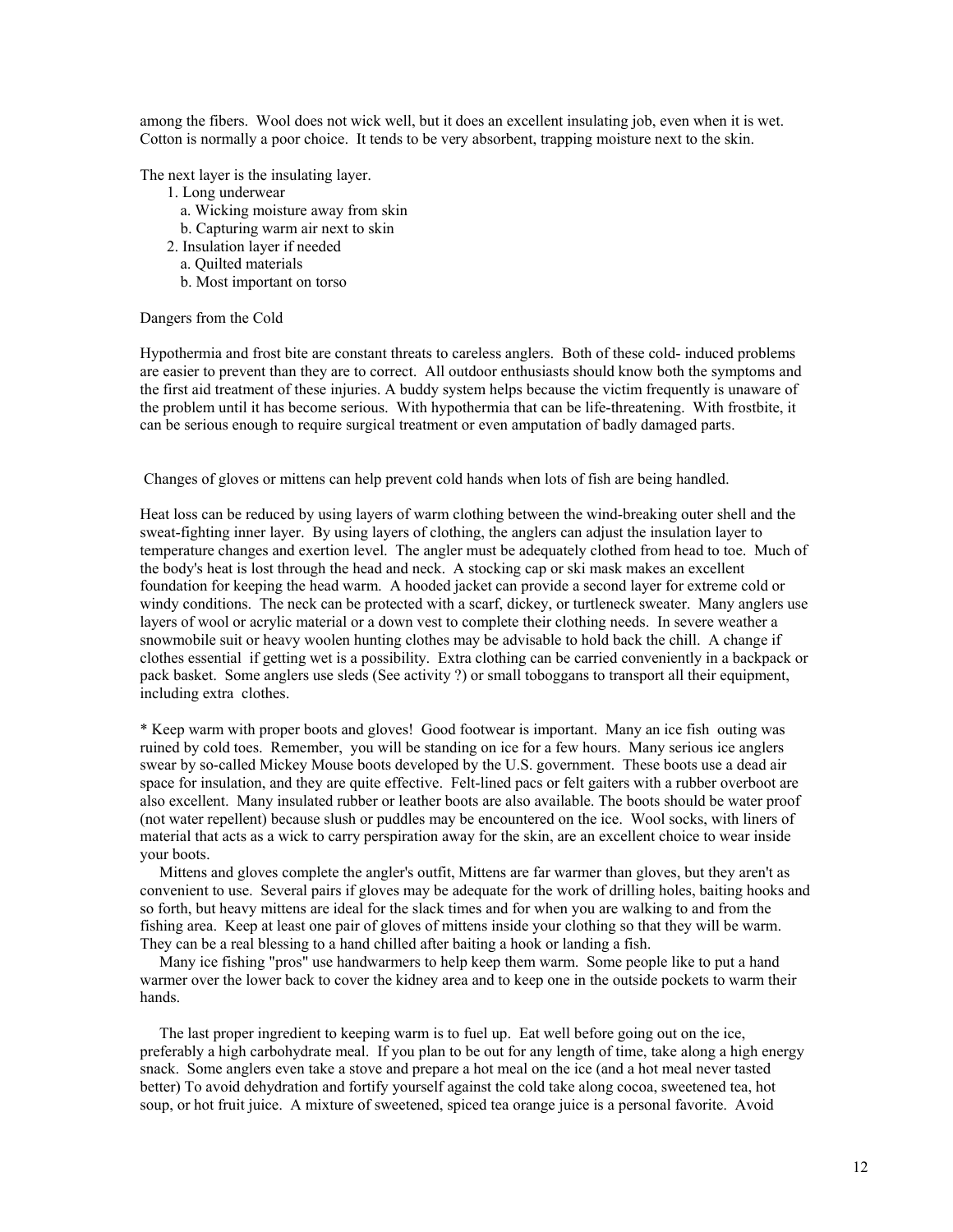among the fibers. Wool does not wick well, but it does an excellent insulating job, even when it is wet. Cotton is normally a poor choice. It tends to be very absorbent, trapping moisture next to the skin.

The next layer is the insulating layer.

- 1. Long underwear
	- a. Wicking moisture away from skin
	- b. Capturing warm air next to skin
- 2. Insulation layer if needed
	- a. Quilted materials
	- b. Most important on torso

## Dangers from the Cold

Hypothermia and frost bite are constant threats to careless anglers. Both of these cold- induced problems are easier to prevent than they are to correct. All outdoor enthusiasts should know both the symptoms and the first aid treatment of these injuries. A buddy system helps because the victim frequently is unaware of the problem until it has become serious. With hypothermia that can be life-threatening. With frostbite, it can be serious enough to require surgical treatment or even amputation of badly damaged parts.

## Changes of gloves or mittens can help prevent cold hands when lots of fish are being handled.

Heat loss can be reduced by using layers of warm clothing between the wind-breaking outer shell and the sweat-fighting inner layer. By using layers of clothing, the anglers can adjust the insulation layer to temperature changes and exertion level. The angler must be adequately clothed from head to toe. Much of the body's heat is lost through the head and neck. A stocking cap or ski mask makes an excellent foundation for keeping the head warm. A hooded jacket can provide a second layer for extreme cold or windy conditions. The neck can be protected with a scarf, dickey, or turtleneck sweater. Many anglers use layers of wool or acrylic material or a down vest to complete their clothing needs. In severe weather a snowmobile suit or heavy woolen hunting clothes may be advisable to hold back the chill. A change if clothes essential if getting wet is a possibility. Extra clothing can be carried conveniently in a backpack or pack basket. Some anglers use sleds (See activity ?) or small toboggans to transport all their equipment, including extra clothes.

\* Keep warm with proper boots and gloves! Good footwear is important. Many an ice fish outing was ruined by cold toes. Remember, you will be standing on ice for a few hours. Many serious ice anglers swear by so-called Mickey Mouse boots developed by the U.S. government. These boots use a dead air space for insulation, and they are quite effective. Felt-lined pacs or felt gaiters with a rubber overboot are also excellent. Many insulated rubber or leather boots are also available. The boots should be water proof (not water repellent) because slush or puddles may be encountered on the ice. Wool socks, with liners of material that acts as a wick to carry perspiration away for the skin, are an excellent choice to wear inside your boots.

 Mittens and gloves complete the angler's outfit, Mittens are far warmer than gloves, but they aren't as convenient to use. Several pairs if gloves may be adequate for the work of drilling holes, baiting hooks and so forth, but heavy mittens are ideal for the slack times and for when you are walking to and from the fishing area. Keep at least one pair of gloves of mittens inside your clothing so that they will be warm. They can be a real blessing to a hand chilled after baiting a hook or landing a fish.

 Many ice fishing "pros" use handwarmers to help keep them warm. Some people like to put a hand warmer over the lower back to cover the kidney area and to keep one in the outside pockets to warm their hands.

 The last proper ingredient to keeping warm is to fuel up. Eat well before going out on the ice, preferably a high carbohydrate meal. If you plan to be out for any length of time, take along a high energy snack. Some anglers even take a stove and prepare a hot meal on the ice (and a hot meal never tasted better) To avoid dehydration and fortify yourself against the cold take along cocoa, sweetened tea, hot soup, or hot fruit juice. A mixture of sweetened, spiced tea orange juice is a personal favorite. Avoid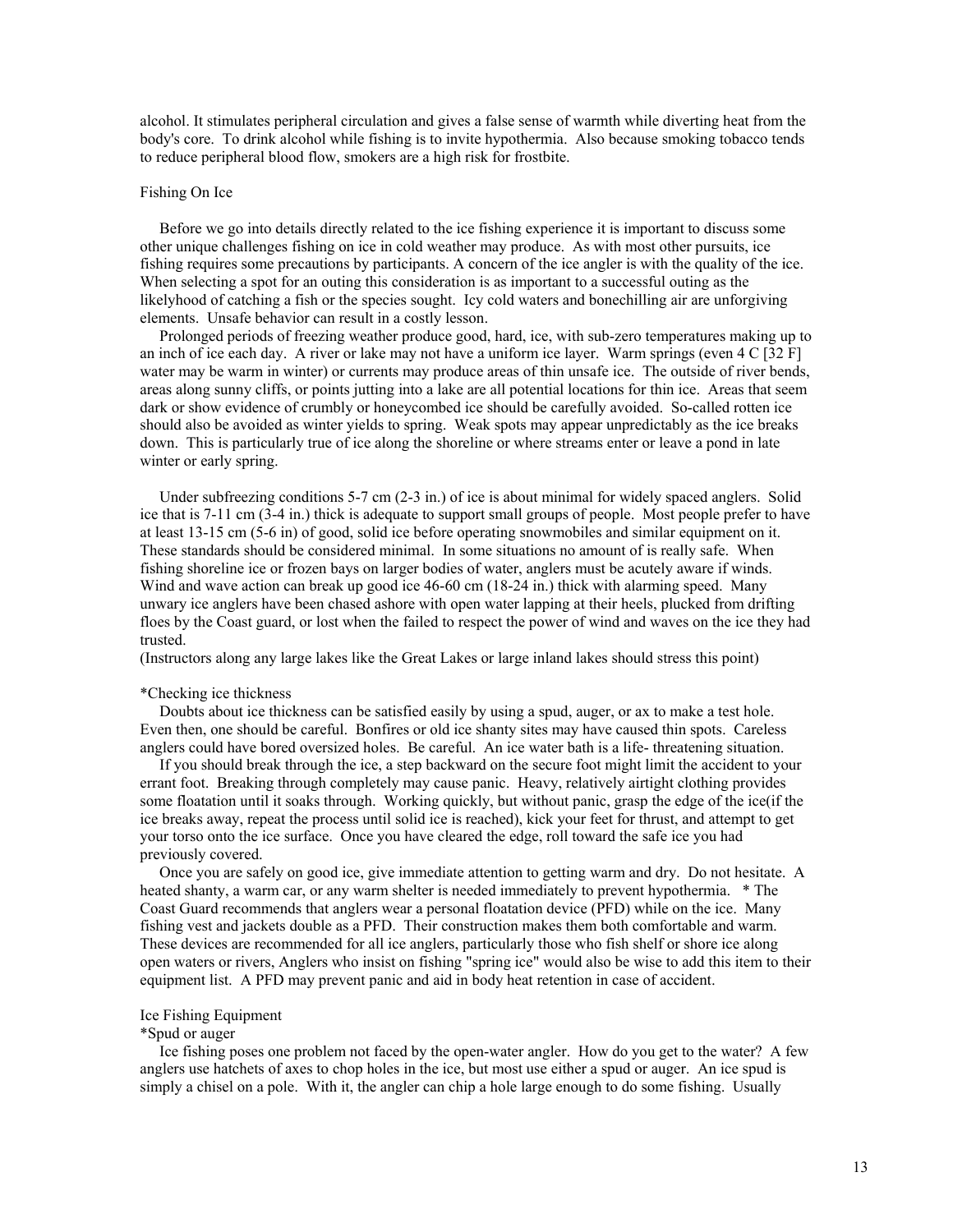alcohol. It stimulates peripheral circulation and gives a false sense of warmth while diverting heat from the body's core. To drink alcohol while fishing is to invite hypothermia. Also because smoking tobacco tends to reduce peripheral blood flow, smokers are a high risk for frostbite.

## Fishing On Ice

 Before we go into details directly related to the ice fishing experience it is important to discuss some other unique challenges fishing on ice in cold weather may produce. As with most other pursuits, ice fishing requires some precautions by participants. A concern of the ice angler is with the quality of the ice. When selecting a spot for an outing this consideration is as important to a successful outing as the likelyhood of catching a fish or the species sought. Icy cold waters and bonechilling air are unforgiving elements. Unsafe behavior can result in a costly lesson.

 Prolonged periods of freezing weather produce good, hard, ice, with sub-zero temperatures making up to an inch of ice each day. A river or lake may not have a uniform ice layer. Warm springs (even 4 C [32 F] water may be warm in winter) or currents may produce areas of thin unsafe ice. The outside of river bends, areas along sunny cliffs, or points jutting into a lake are all potential locations for thin ice. Areas that seem dark or show evidence of crumbly or honeycombed ice should be carefully avoided. So-called rotten ice should also be avoided as winter yields to spring. Weak spots may appear unpredictably as the ice breaks down. This is particularly true of ice along the shoreline or where streams enter or leave a pond in late winter or early spring.

Under subfreezing conditions 5-7 cm (2-3 in.) of ice is about minimal for widely spaced anglers. Solid ice that is 7-11 cm (3-4 in.) thick is adequate to support small groups of people. Most people prefer to have at least 13-15 cm (5-6 in) of good, solid ice before operating snowmobiles and similar equipment on it. These standards should be considered minimal. In some situations no amount of is really safe. When fishing shoreline ice or frozen bays on larger bodies of water, anglers must be acutely aware if winds. Wind and wave action can break up good ice 46-60 cm (18-24 in.) thick with alarming speed. Many unwary ice anglers have been chased ashore with open water lapping at their heels, plucked from drifting floes by the Coast guard, or lost when the failed to respect the power of wind and waves on the ice they had trusted.

(Instructors along any large lakes like the Great Lakes or large inland lakes should stress this point)

#### \*Checking ice thickness

 Doubts about ice thickness can be satisfied easily by using a spud, auger, or ax to make a test hole. Even then, one should be careful. Bonfires or old ice shanty sites may have caused thin spots. Careless anglers could have bored oversized holes. Be careful. An ice water bath is a life- threatening situation.

 If you should break through the ice, a step backward on the secure foot might limit the accident to your errant foot. Breaking through completely may cause panic. Heavy, relatively airtight clothing provides some floatation until it soaks through. Working quickly, but without panic, grasp the edge of the ice(if the ice breaks away, repeat the process until solid ice is reached), kick your feet for thrust, and attempt to get your torso onto the ice surface. Once you have cleared the edge, roll toward the safe ice you had previously covered.

 Once you are safely on good ice, give immediate attention to getting warm and dry. Do not hesitate. A heated shanty, a warm car, or any warm shelter is needed immediately to prevent hypothermia. \* The Coast Guard recommends that anglers wear a personal floatation device (PFD) while on the ice. Many fishing vest and jackets double as a PFD. Their construction makes them both comfortable and warm. These devices are recommended for all ice anglers, particularly those who fish shelf or shore ice along open waters or rivers, Anglers who insist on fishing "spring ice" would also be wise to add this item to their equipment list. A PFD may prevent panic and aid in body heat retention in case of accident.

#### Ice Fishing Equipment

#### \*Spud or auger

 Ice fishing poses one problem not faced by the open-water angler. How do you get to the water? A few anglers use hatchets of axes to chop holes in the ice, but most use either a spud or auger. An ice spud is simply a chisel on a pole. With it, the angler can chip a hole large enough to do some fishing. Usually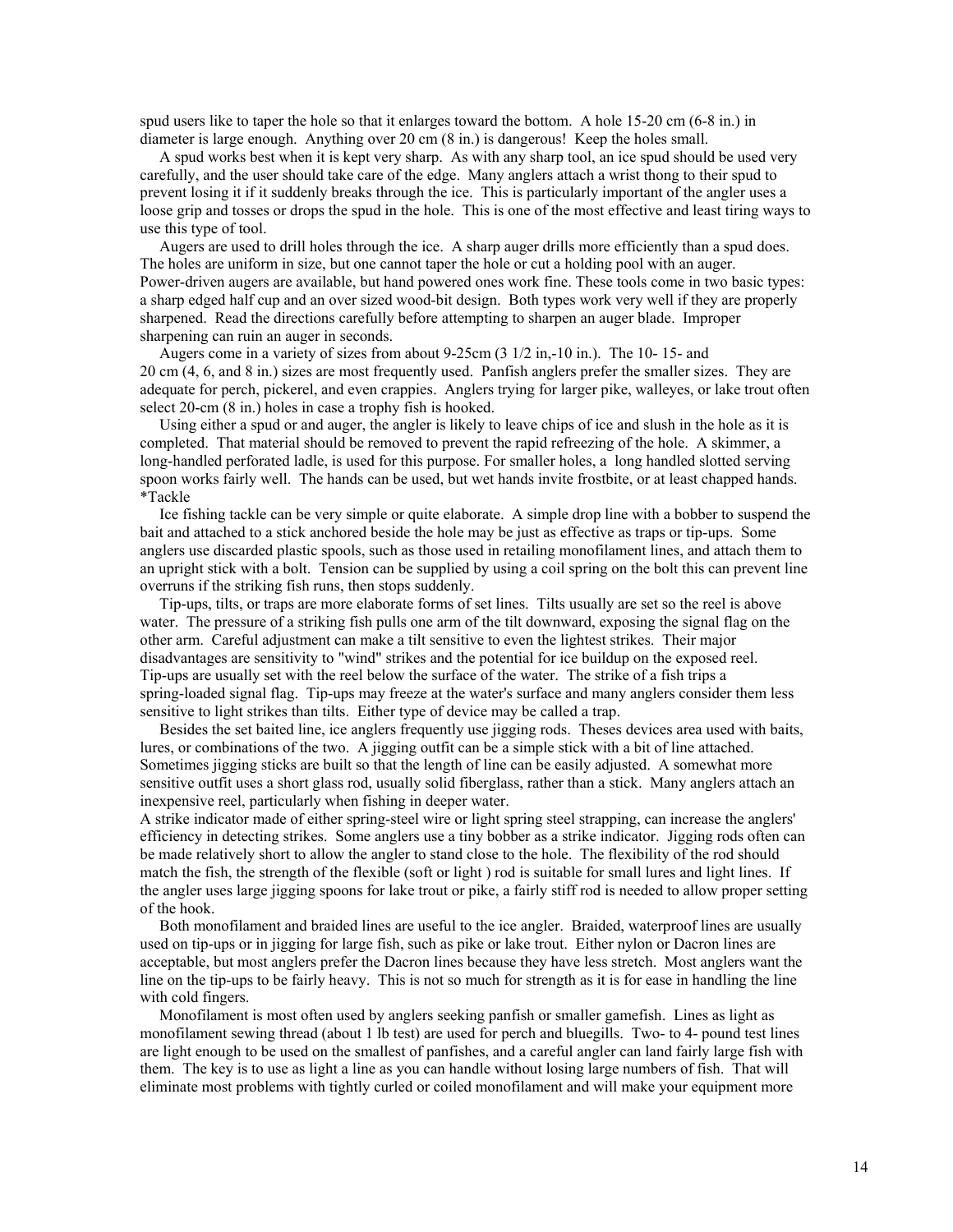spud users like to taper the hole so that it enlarges toward the bottom. A hole 15-20 cm (6-8 in.) in diameter is large enough. Anything over 20 cm (8 in.) is dangerous! Keep the holes small.

 A spud works best when it is kept very sharp. As with any sharp tool, an ice spud should be used very carefully, and the user should take care of the edge. Many anglers attach a wrist thong to their spud to prevent losing it if it suddenly breaks through the ice. This is particularly important of the angler uses a loose grip and tosses or drops the spud in the hole. This is one of the most effective and least tiring ways to use this type of tool.

 Augers are used to drill holes through the ice. A sharp auger drills more efficiently than a spud does. The holes are uniform in size, but one cannot taper the hole or cut a holding pool with an auger. Power-driven augers are available, but hand powered ones work fine. These tools come in two basic types: a sharp edged half cup and an over sized wood-bit design. Both types work very well if they are properly sharpened. Read the directions carefully before attempting to sharpen an auger blade. Improper sharpening can ruin an auger in seconds.

 Augers come in a variety of sizes from about 9-25cm (3 1/2 in,-10 in.). The 10- 15- and 20 cm (4, 6, and 8 in.) sizes are most frequently used. Panfish anglers prefer the smaller sizes. They are adequate for perch, pickerel, and even crappies. Anglers trying for larger pike, walleyes, or lake trout often select 20-cm (8 in.) holes in case a trophy fish is hooked.

 Using either a spud or and auger, the angler is likely to leave chips of ice and slush in the hole as it is completed. That material should be removed to prevent the rapid refreezing of the hole. A skimmer, a long-handled perforated ladle, is used for this purpose. For smaller holes, a long handled slotted serving spoon works fairly well. The hands can be used, but wet hands invite frostbite, or at least chapped hands. \*Tackle

 Ice fishing tackle can be very simple or quite elaborate. A simple drop line with a bobber to suspend the bait and attached to a stick anchored beside the hole may be just as effective as traps or tip-ups. Some anglers use discarded plastic spools, such as those used in retailing monofilament lines, and attach them to an upright stick with a bolt. Tension can be supplied by using a coil spring on the bolt this can prevent line overruns if the striking fish runs, then stops suddenly.

 Tip-ups, tilts, or traps are more elaborate forms of set lines. Tilts usually are set so the reel is above water. The pressure of a striking fish pulls one arm of the tilt downward, exposing the signal flag on the other arm. Careful adjustment can make a tilt sensitive to even the lightest strikes. Their major disadvantages are sensitivity to "wind" strikes and the potential for ice buildup on the exposed reel. Tip-ups are usually set with the reel below the surface of the water. The strike of a fish trips a spring-loaded signal flag. Tip-ups may freeze at the water's surface and many anglers consider them less sensitive to light strikes than tilts. Either type of device may be called a trap.

 Besides the set baited line, ice anglers frequently use jigging rods. Theses devices area used with baits, lures, or combinations of the two. A jigging outfit can be a simple stick with a bit of line attached. Sometimes jigging sticks are built so that the length of line can be easily adjusted. A somewhat more sensitive outfit uses a short glass rod, usually solid fiberglass, rather than a stick. Many anglers attach an inexpensive reel, particularly when fishing in deeper water.

A strike indicator made of either spring-steel wire or light spring steel strapping, can increase the anglers' efficiency in detecting strikes. Some anglers use a tiny bobber as a strike indicator. Jigging rods often can be made relatively short to allow the angler to stand close to the hole. The flexibility of the rod should match the fish, the strength of the flexible (soft or light ) rod is suitable for small lures and light lines. If the angler uses large jigging spoons for lake trout or pike, a fairly stiff rod is needed to allow proper setting of the hook.

 Both monofilament and braided lines are useful to the ice angler. Braided, waterproof lines are usually used on tip-ups or in jigging for large fish, such as pike or lake trout. Either nylon or Dacron lines are acceptable, but most anglers prefer the Dacron lines because they have less stretch. Most anglers want the line on the tip-ups to be fairly heavy. This is not so much for strength as it is for ease in handling the line with cold fingers.

 Monofilament is most often used by anglers seeking panfish or smaller gamefish. Lines as light as monofilament sewing thread (about 1 lb test) are used for perch and bluegills. Two- to 4- pound test lines are light enough to be used on the smallest of panfishes, and a careful angler can land fairly large fish with them. The key is to use as light a line as you can handle without losing large numbers of fish. That will eliminate most problems with tightly curled or coiled monofilament and will make your equipment more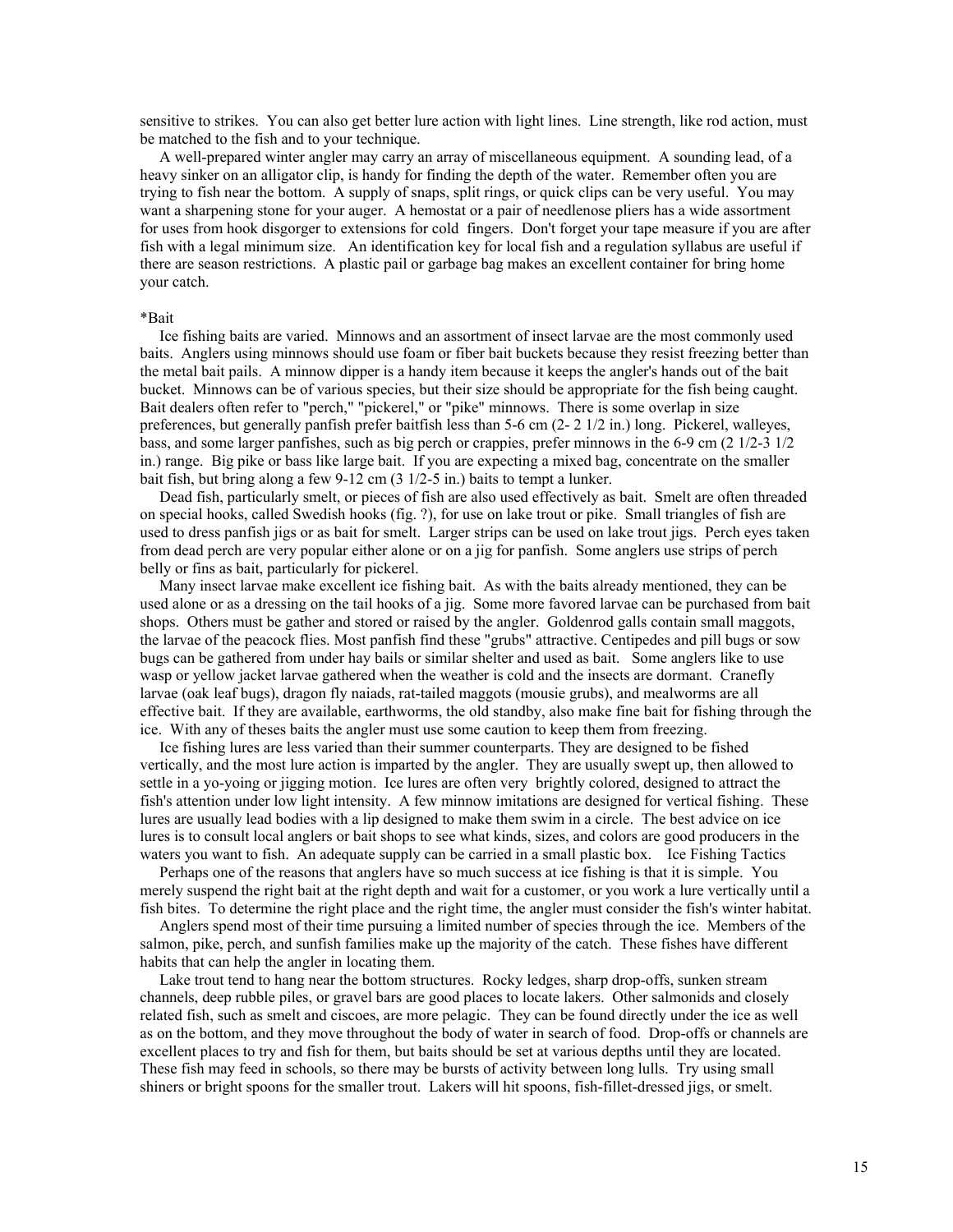sensitive to strikes. You can also get better lure action with light lines. Line strength, like rod action, must be matched to the fish and to your technique.

 A well-prepared winter angler may carry an array of miscellaneous equipment. A sounding lead, of a heavy sinker on an alligator clip, is handy for finding the depth of the water. Remember often you are trying to fish near the bottom. A supply of snaps, split rings, or quick clips can be very useful. You may want a sharpening stone for your auger. A hemostat or a pair of needlenose pliers has a wide assortment for uses from hook disgorger to extensions for cold fingers. Don't forget your tape measure if you are after fish with a legal minimum size. An identification key for local fish and a regulation syllabus are useful if there are season restrictions. A plastic pail or garbage bag makes an excellent container for bring home your catch.

#### \*Bait

 Ice fishing baits are varied. Minnows and an assortment of insect larvae are the most commonly used baits. Anglers using minnows should use foam or fiber bait buckets because they resist freezing better than the metal bait pails. A minnow dipper is a handy item because it keeps the angler's hands out of the bait bucket. Minnows can be of various species, but their size should be appropriate for the fish being caught. Bait dealers often refer to "perch," "pickerel," or "pike" minnows. There is some overlap in size preferences, but generally panfish prefer baitfish less than 5-6 cm (2- 2 1/2 in.) long. Pickerel, walleyes, bass, and some larger panfishes, such as big perch or crappies, prefer minnows in the 6-9 cm (2 1/2-3 1/2 in.) range. Big pike or bass like large bait. If you are expecting a mixed bag, concentrate on the smaller bait fish, but bring along a few 9-12 cm (3 1/2-5 in.) baits to tempt a lunker.

 Dead fish, particularly smelt, or pieces of fish are also used effectively as bait. Smelt are often threaded on special hooks, called Swedish hooks (fig. ?), for use on lake trout or pike. Small triangles of fish are used to dress panfish jigs or as bait for smelt. Larger strips can be used on lake trout jigs. Perch eyes taken from dead perch are very popular either alone or on a jig for panfish. Some anglers use strips of perch belly or fins as bait, particularly for pickerel.

 Many insect larvae make excellent ice fishing bait. As with the baits already mentioned, they can be used alone or as a dressing on the tail hooks of a jig. Some more favored larvae can be purchased from bait shops. Others must be gather and stored or raised by the angler. Goldenrod galls contain small maggots, the larvae of the peacock flies. Most panfish find these "grubs" attractive. Centipedes and pill bugs or sow bugs can be gathered from under hay bails or similar shelter and used as bait. Some anglers like to use wasp or yellow jacket larvae gathered when the weather is cold and the insects are dormant. Cranefly larvae (oak leaf bugs), dragon fly naiads, rat-tailed maggots (mousie grubs), and mealworms are all effective bait. If they are available, earthworms, the old standby, also make fine bait for fishing through the ice. With any of theses baits the angler must use some caution to keep them from freezing.

 Ice fishing lures are less varied than their summer counterparts. They are designed to be fished vertically, and the most lure action is imparted by the angler. They are usually swept up, then allowed to settle in a yo-yoing or jigging motion. Ice lures are often very brightly colored, designed to attract the fish's attention under low light intensity. A few minnow imitations are designed for vertical fishing. These lures are usually lead bodies with a lip designed to make them swim in a circle. The best advice on ice lures is to consult local anglers or bait shops to see what kinds, sizes, and colors are good producers in the waters you want to fish. An adequate supply can be carried in a small plastic box. Ice Fishing Tactics

 Perhaps one of the reasons that anglers have so much success at ice fishing is that it is simple. You merely suspend the right bait at the right depth and wait for a customer, or you work a lure vertically until a fish bites. To determine the right place and the right time, the angler must consider the fish's winter habitat.

 Anglers spend most of their time pursuing a limited number of species through the ice. Members of the salmon, pike, perch, and sunfish families make up the majority of the catch. These fishes have different habits that can help the angler in locating them.

 Lake trout tend to hang near the bottom structures. Rocky ledges, sharp drop-offs, sunken stream channels, deep rubble piles, or gravel bars are good places to locate lakers. Other salmonids and closely related fish, such as smelt and ciscoes, are more pelagic. They can be found directly under the ice as well as on the bottom, and they move throughout the body of water in search of food. Drop-offs or channels are excellent places to try and fish for them, but baits should be set at various depths until they are located. These fish may feed in schools, so there may be bursts of activity between long lulls. Try using small shiners or bright spoons for the smaller trout. Lakers will hit spoons, fish-fillet-dressed jigs, or smelt.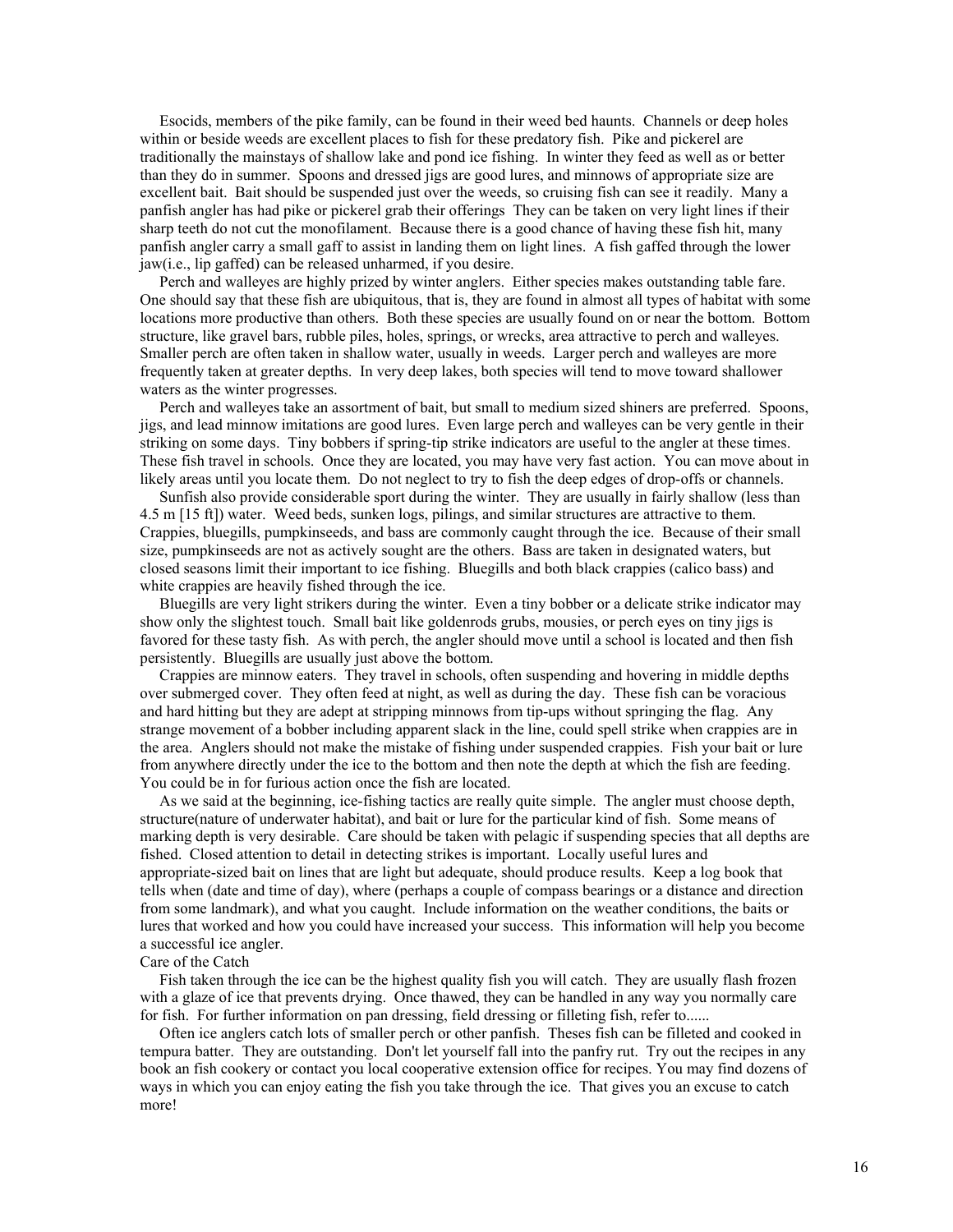Esocids, members of the pike family, can be found in their weed bed haunts. Channels or deep holes within or beside weeds are excellent places to fish for these predatory fish. Pike and pickerel are traditionally the mainstays of shallow lake and pond ice fishing. In winter they feed as well as or better than they do in summer. Spoons and dressed jigs are good lures, and minnows of appropriate size are excellent bait. Bait should be suspended just over the weeds, so cruising fish can see it readily. Many a panfish angler has had pike or pickerel grab their offerings They can be taken on very light lines if their sharp teeth do not cut the monofilament. Because there is a good chance of having these fish hit, many panfish angler carry a small gaff to assist in landing them on light lines. A fish gaffed through the lower jaw(i.e., lip gaffed) can be released unharmed, if you desire.

 Perch and walleyes are highly prized by winter anglers. Either species makes outstanding table fare. One should say that these fish are ubiquitous, that is, they are found in almost all types of habitat with some locations more productive than others. Both these species are usually found on or near the bottom. Bottom structure, like gravel bars, rubble piles, holes, springs, or wrecks, area attractive to perch and walleyes. Smaller perch are often taken in shallow water, usually in weeds. Larger perch and walleyes are more frequently taken at greater depths. In very deep lakes, both species will tend to move toward shallower waters as the winter progresses.

 Perch and walleyes take an assortment of bait, but small to medium sized shiners are preferred. Spoons, jigs, and lead minnow imitations are good lures. Even large perch and walleyes can be very gentle in their striking on some days. Tiny bobbers if spring-tip strike indicators are useful to the angler at these times. These fish travel in schools. Once they are located, you may have very fast action. You can move about in likely areas until you locate them. Do not neglect to try to fish the deep edges of drop-offs or channels.

 Sunfish also provide considerable sport during the winter. They are usually in fairly shallow (less than 4.5 m [15 ft]) water. Weed beds, sunken logs, pilings, and similar structures are attractive to them. Crappies, bluegills, pumpkinseeds, and bass are commonly caught through the ice. Because of their small size, pumpkinseeds are not as actively sought are the others. Bass are taken in designated waters, but closed seasons limit their important to ice fishing. Bluegills and both black crappies (calico bass) and white crappies are heavily fished through the ice.

 Bluegills are very light strikers during the winter. Even a tiny bobber or a delicate strike indicator may show only the slightest touch. Small bait like goldenrods grubs, mousies, or perch eyes on tiny jigs is favored for these tasty fish. As with perch, the angler should move until a school is located and then fish persistently. Bluegills are usually just above the bottom.

 Crappies are minnow eaters. They travel in schools, often suspending and hovering in middle depths over submerged cover. They often feed at night, as well as during the day. These fish can be voracious and hard hitting but they are adept at stripping minnows from tip-ups without springing the flag. Any strange movement of a bobber including apparent slack in the line, could spell strike when crappies are in the area. Anglers should not make the mistake of fishing under suspended crappies. Fish your bait or lure from anywhere directly under the ice to the bottom and then note the depth at which the fish are feeding. You could be in for furious action once the fish are located.

 As we said at the beginning, ice-fishing tactics are really quite simple. The angler must choose depth, structure(nature of underwater habitat), and bait or lure for the particular kind of fish. Some means of marking depth is very desirable. Care should be taken with pelagic if suspending species that all depths are fished. Closed attention to detail in detecting strikes is important. Locally useful lures and appropriate-sized bait on lines that are light but adequate, should produce results. Keep a log book that tells when (date and time of day), where (perhaps a couple of compass bearings or a distance and direction from some landmark), and what you caught. Include information on the weather conditions, the baits or lures that worked and how you could have increased your success. This information will help you become a successful ice angler.

#### Care of the Catch

 Fish taken through the ice can be the highest quality fish you will catch. They are usually flash frozen with a glaze of ice that prevents drying. Once thawed, they can be handled in any way you normally care for fish. For further information on pan dressing, field dressing or filleting fish, refer to......

 Often ice anglers catch lots of smaller perch or other panfish. Theses fish can be filleted and cooked in tempura batter. They are outstanding. Don't let yourself fall into the panfry rut. Try out the recipes in any book an fish cookery or contact you local cooperative extension office for recipes. You may find dozens of ways in which you can enjoy eating the fish you take through the ice. That gives you an excuse to catch more!